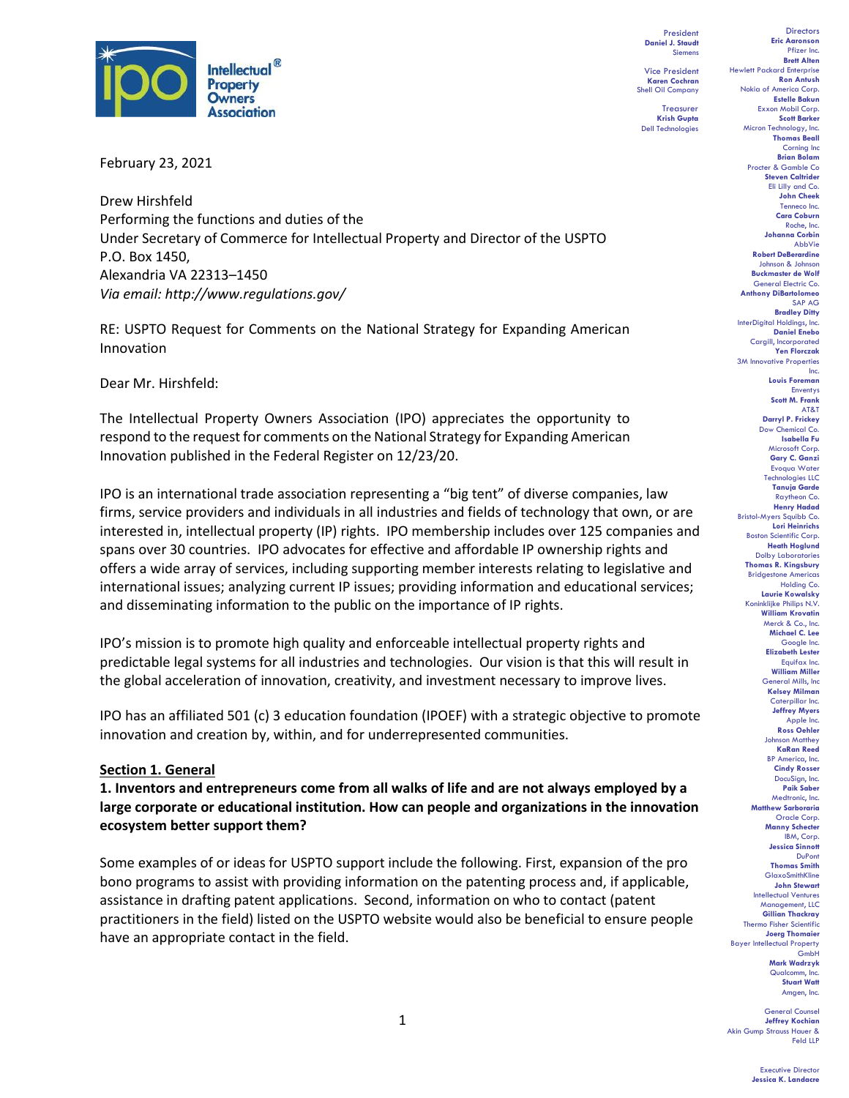

February 23, 2021

Drew Hirshfeld Performing the functions and duties of the Under Secretary of Commerce for Intellectual Property and Director of the USPTO P.O. Box 1450, Alexandria VA 22313–1450 *Via email: http://www.regulations.gov/*

RE: USPTO Request for Comments on the National Strategy for Expanding American Innovation

Dear Mr. Hirshfeld:

The Intellectual Property Owners Association (IPO) appreciates the opportunity to respond to the request for comments on the National Strategy for Expanding American Innovation published in the Federal Register on 12/23/20.

IPO is an international trade association representing a "big tent" of diverse companies, law firms, service providers and individuals in all industries and fields of technology that own, or are interested in, intellectual property (IP) rights. IPO membership includes over 125 companies and spans over 30 countries. IPO advocates for effective and affordable IP ownership rights and offers a wide array of services, including supporting member interests relating to legislative and international issues; analyzing current IP issues; providing information and educational services; and disseminating information to the public on the importance of IP rights.

IPO's mission is to promote high quality and enforceable intellectual property rights and predictable legal systems for all industries and technologies. Our vision is that this will result in the global acceleration of innovation, creativity, and investment necessary to improve lives.

IPO has an affiliated 501 (c) 3 education foundation (IPOEF) with a strategic objective to promote innovation and creation by, within, and for underrepresented communities.

#### **Section 1. General**

**1. Inventors and entrepreneurs come from all walks of life and are not always employed by a large corporate or educational institution. How can people and organizations in the innovation ecosystem better support them?** 

Some examples of or ideas for USPTO support include the following. First, expansion of the pro bono programs to assist with providing information on the patenting process and, if applicable, assistance in drafting patent applications. Second, information on who to contact (patent practitioners in the field) listed on the USPTO website would also be beneficial to ensure people have an appropriate contact in the field.

President **Daniel J. Staudt** Siemens

Vice President **Karen Cochran** Shell Oil Company

Treasurer **Krish Gupta** Dell Technologies

**Directors Eric Aaronson**  Pfizer Inc. **Brett Alten** Hewlett Packard Enterprise **Ron Antush** Nokia of America Corp. **Estelle Bakun** Exxon Mobil Corp. **Scott Barker** Micron Technology, Inc. **Thomas Beall** Corning Inc **Brian Bolam** Procter & Gamble Co **Steven Caltrider** Eli Lilly and Co. **John Cheek** Tenneco Inc. **Cara Coburn** Roche, Inc. **Johanna Corbin** AbbVie **Robert DeBerardine** Johnson & Johnson **Buckmaster de Wolf** General Electric Co. **Anthony DiBartolomeo** SAP AG **Bradley Ditty** InterDigital Holdings, Inc. **Daniel Enebo** Cargill, Incorporated **Yen Florczak** 3M Innovative Properties Inc. **Louis Foreman** Enventys **Scott M. Frank** AT&T **Darryl P. Frickey** Dow Chemical Co. **Isabella Fu**  Microsoft Corp. **Gary C. Ganzi** Evoqua Water Technologies LLC **Tanuja Garde** Raytheon Co. **Henry Hadad** Bristol-Myers Squibb Co. **Lori Heinrichs** Boston Scientific Corp. **Heath Hoglund** Dolby Laboratories **Thomas R. Kingsbury** Bridgestone Americas Holding Co. **Laurie Kowalsky** Koninklijke Philips N.V. **William Krovatin** Merck & Co., Inc. **Michael C. Lee** Google Inc. **Elizabeth Lester** Equifax Inc. **William Miller** General Mills, Inc **Kelsey Milman** Caterpillar Inc. **Jeffrey Myers** Apple Inc. **Ross Oehler** Johnson Matthey **KaRan Reed** BP America, Inc. **Cindy Rosser** DocuSign, Inc. **Paik Saber** Medtronic, Inc. **Matthew Sarboraria** Oracle Corp. **Manny Schecter** IBM, Corp. **Jessica Sinnott** DuPont **Thomas Smith GlaxoSmithKline John Stewart** Intellectual Ventures Management, LLC **Gillian Thackray** Thermo Fisher Scientific **Joerg Thomaier** Bayer Intellectual Property GmbH **Mark Wadrzyk** Qualcomm, In **Stuart Watt** Amgen, Inc.

General Counsel **Jeffrey Kochian** Akin Gump Strauss Hauer & Feld LLP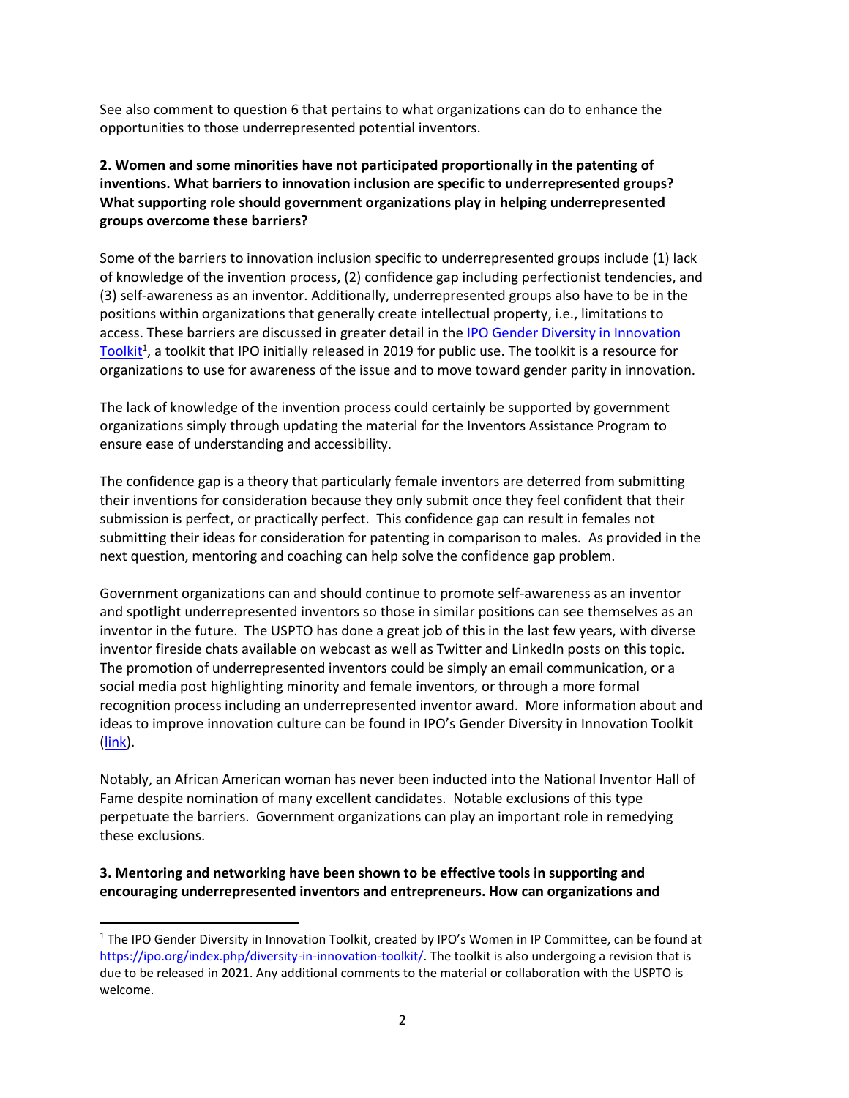See also comment to question 6 that pertains to what organizations can do to enhance the opportunities to those underrepresented potential inventors.

### **2. Women and some minorities have not participated proportionally in the patenting of inventions. What barriers to innovation inclusion are specific to underrepresented groups? What supporting role should government organizations play in helping underrepresented groups overcome these barriers?**

Some of the barriers to innovation inclusion specific to underrepresented groups include (1) lack of knowledge of the invention process, (2) confidence gap including perfectionist tendencies, and (3) self-awareness as an inventor. Additionally, underrepresented groups also have to be in the positions within organizations that generally create intellectual property, i.e., limitations to access. These barriers are discussed in greater detail in the IPO Gender Diversity in Innovation [Toolkit](https://ipo.org/index.php/diversity-in-innovation-toolkit/)<sup>1</sup>, a toolkit that IPO initially released in 2019 for public use. The toolkit is a resource for organizations to use for awareness of the issue and to move toward gender parity in innovation.

The lack of knowledge of the invention process could certainly be supported by government organizations simply through updating the material for the Inventors Assistance Program to ensure ease of understanding and accessibility.

The confidence gap is a theory that particularly female inventors are deterred from submitting their inventions for consideration because they only submit once they feel confident that their submission is perfect, or practically perfect. This confidence gap can result in females not submitting their ideas for consideration for patenting in comparison to males. As provided in the next question, mentoring and coaching can help solve the confidence gap problem.

Government organizations can and should continue to promote self-awareness as an inventor and spotlight underrepresented inventors so those in similar positions can see themselves as an inventor in the future. The USPTO has done a great job of this in the last few years, with diverse inventor fireside chats available on webcast as well as Twitter and LinkedIn posts on this topic. The promotion of underrepresented inventors could be simply an email communication, or a social media post highlighting minority and female inventors, or through a more formal recognition process including an underrepresented inventor award. More information about and ideas to improve innovation culture can be found in IPO's Gender Diversity in Innovation Toolkit [\(link\)](https://ipo.org/index.php/diversity-in-innovation-toolkit/).

Notably, an African American woman has never been inducted into the National Inventor Hall of Fame despite nomination of many excellent candidates. Notable exclusions of this type perpetuate the barriers. Government organizations can play an important role in remedying these exclusions.

**3. Mentoring and networking have been shown to be effective tools in supporting and encouraging underrepresented inventors and entrepreneurs. How can organizations and** 

<sup>&</sup>lt;sup>1</sup> The IPO Gender Diversity in Innovation Toolkit, created by IPO's Women in IP Committee, can be found at [https://ipo.org/index.php/diversity-in-innovation-toolkit/.](https://ipo.org/index.php/diversity-in-innovation-toolkit/) The toolkit is also undergoing a revision that is due to be released in 2021. Any additional comments to the material or collaboration with the USPTO is welcome.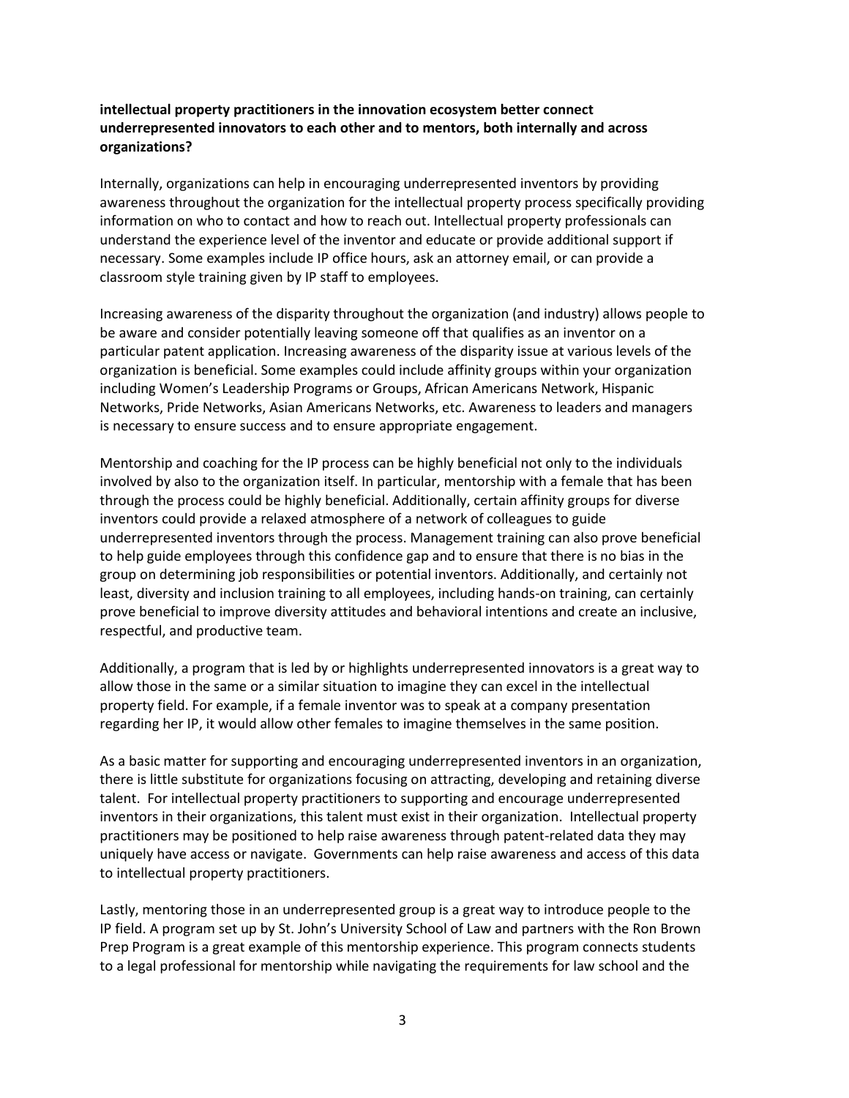#### **intellectual property practitioners in the innovation ecosystem better connect underrepresented innovators to each other and to mentors, both internally and across organizations?**

Internally, organizations can help in encouraging underrepresented inventors by providing awareness throughout the organization for the intellectual property process specifically providing information on who to contact and how to reach out. Intellectual property professionals can understand the experience level of the inventor and educate or provide additional support if necessary. Some examples include IP office hours, ask an attorney email, or can provide a classroom style training given by IP staff to employees.

Increasing awareness of the disparity throughout the organization (and industry) allows people to be aware and consider potentially leaving someone off that qualifies as an inventor on a particular patent application. Increasing awareness of the disparity issue at various levels of the organization is beneficial. Some examples could include affinity groups within your organization including Women's Leadership Programs or Groups, African Americans Network, Hispanic Networks, Pride Networks, Asian Americans Networks, etc. Awareness to leaders and managers is necessary to ensure success and to ensure appropriate engagement.

Mentorship and coaching for the IP process can be highly beneficial not only to the individuals involved by also to the organization itself. In particular, mentorship with a female that has been through the process could be highly beneficial. Additionally, certain affinity groups for diverse inventors could provide a relaxed atmosphere of a network of colleagues to guide underrepresented inventors through the process. Management training can also prove beneficial to help guide employees through this confidence gap and to ensure that there is no bias in the group on determining job responsibilities or potential inventors. Additionally, and certainly not least, diversity and inclusion training to all employees, including hands-on training, can certainly prove beneficial to improve diversity attitudes and behavioral intentions and create an inclusive, respectful, and productive team.

Additionally, a program that is led by or highlights underrepresented innovators is a great way to allow those in the same or a similar situation to imagine they can excel in the intellectual property field. For example, if a female inventor was to speak at a company presentation regarding her IP, it would allow other females to imagine themselves in the same position.

As a basic matter for supporting and encouraging underrepresented inventors in an organization, there is little substitute for organizations focusing on attracting, developing and retaining diverse talent. For intellectual property practitioners to supporting and encourage underrepresented inventors in their organizations, this talent must exist in their organization. Intellectual property practitioners may be positioned to help raise awareness through patent-related data they may uniquely have access or navigate. Governments can help raise awareness and access of this data to intellectual property practitioners.

Lastly, mentoring those in an underrepresented group is a great way to introduce people to the IP field. A program set up by St. John's University School of Law and partners with the Ron Brown Prep Program is a great example of this mentorship experience. This program connects students to a legal professional for mentorship while navigating the requirements for law school and the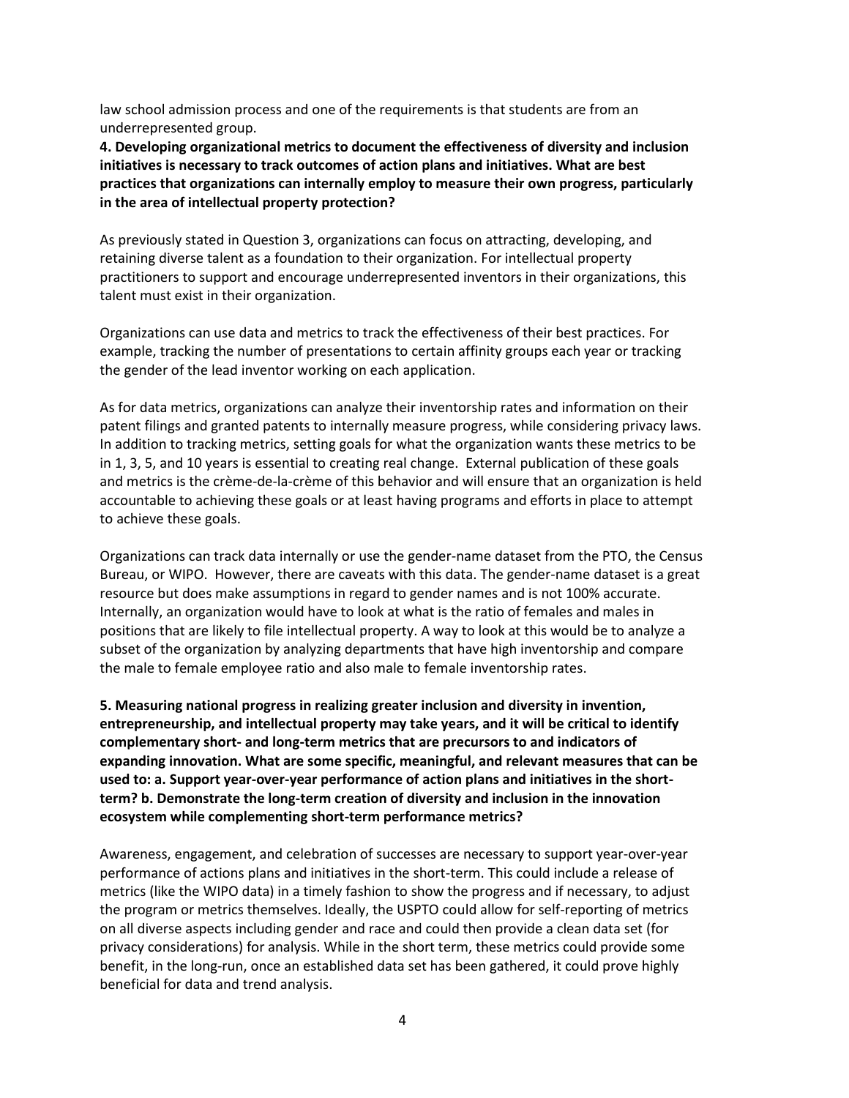law school admission process and one of the requirements is that students are from an underrepresented group.

**4. Developing organizational metrics to document the effectiveness of diversity and inclusion initiatives is necessary to track outcomes of action plans and initiatives. What are best practices that organizations can internally employ to measure their own progress, particularly in the area of intellectual property protection?** 

As previously stated in Question 3, organizations can focus on attracting, developing, and retaining diverse talent as a foundation to their organization. For intellectual property practitioners to support and encourage underrepresented inventors in their organizations, this talent must exist in their organization.

Organizations can use data and metrics to track the effectiveness of their best practices. For example, tracking the number of presentations to certain affinity groups each year or tracking the gender of the lead inventor working on each application.

As for data metrics, organizations can analyze their inventorship rates and information on their patent filings and granted patents to internally measure progress, while considering privacy laws. In addition to tracking metrics, setting goals for what the organization wants these metrics to be in 1, 3, 5, and 10 years is essential to creating real change. External publication of these goals and metrics is the crème-de-la-crème of this behavior and will ensure that an organization is held accountable to achieving these goals or at least having programs and efforts in place to attempt to achieve these goals.

Organizations can track data internally or use the gender-name dataset from the PTO, the Census Bureau, or WIPO. However, there are caveats with this data. The gender-name dataset is a great resource but does make assumptions in regard to gender names and is not 100% accurate. Internally, an organization would have to look at what is the ratio of females and males in positions that are likely to file intellectual property. A way to look at this would be to analyze a subset of the organization by analyzing departments that have high inventorship and compare the male to female employee ratio and also male to female inventorship rates.

**5. Measuring national progress in realizing greater inclusion and diversity in invention, entrepreneurship, and intellectual property may take years, and it will be critical to identify complementary short- and long-term metrics that are precursors to and indicators of expanding innovation. What are some specific, meaningful, and relevant measures that can be used to: a. Support year-over-year performance of action plans and initiatives in the shortterm? b. Demonstrate the long-term creation of diversity and inclusion in the innovation ecosystem while complementing short-term performance metrics?** 

Awareness, engagement, and celebration of successes are necessary to support year-over-year performance of actions plans and initiatives in the short-term. This could include a release of metrics (like the WIPO data) in a timely fashion to show the progress and if necessary, to adjust the program or metrics themselves. Ideally, the USPTO could allow for self-reporting of metrics on all diverse aspects including gender and race and could then provide a clean data set (for privacy considerations) for analysis. While in the short term, these metrics could provide some benefit, in the long-run, once an established data set has been gathered, it could prove highly beneficial for data and trend analysis.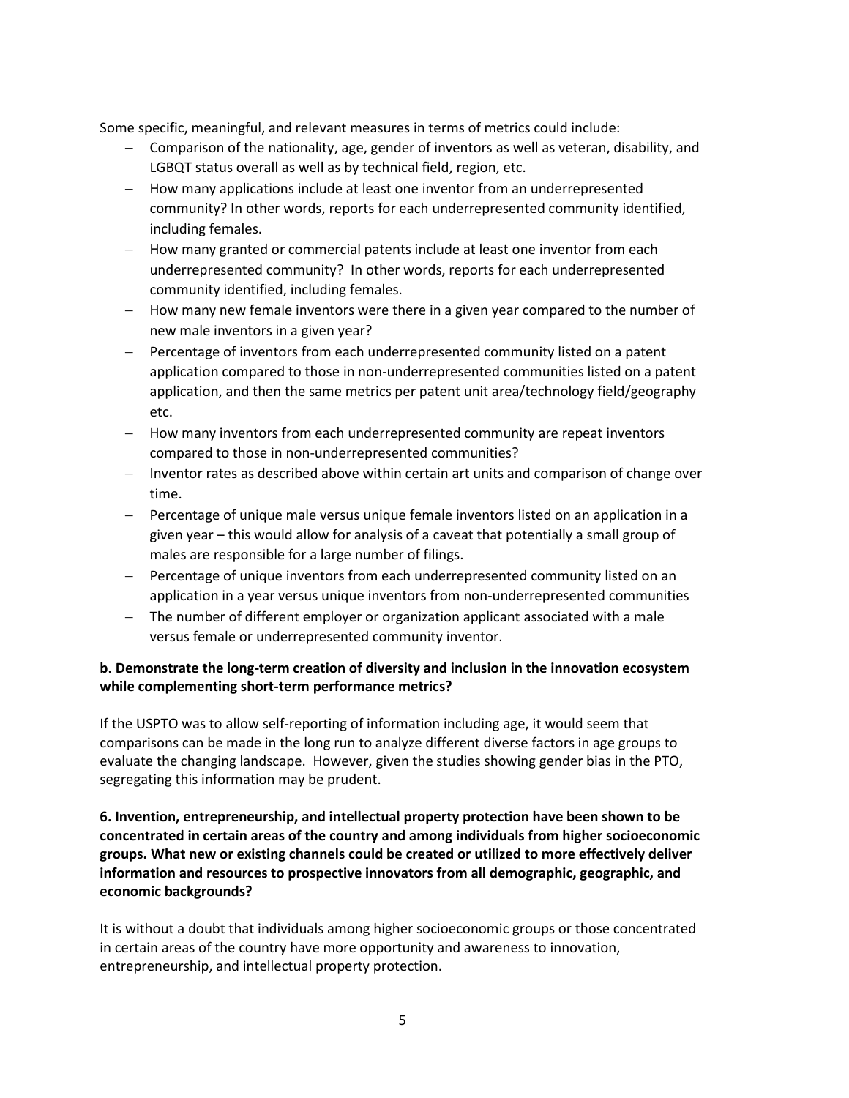Some specific, meaningful, and relevant measures in terms of metrics could include:

- − Comparison of the nationality, age, gender of inventors as well as veteran, disability, and LGBQT status overall as well as by technical field, region, etc.
- − How many applications include at least one inventor from an underrepresented community? In other words, reports for each underrepresented community identified, including females.
- − How many granted or commercial patents include at least one inventor from each underrepresented community? In other words, reports for each underrepresented community identified, including females.
- − How many new female inventors were there in a given year compared to the number of new male inventors in a given year?
- − Percentage of inventors from each underrepresented community listed on a patent application compared to those in non-underrepresented communities listed on a patent application, and then the same metrics per patent unit area/technology field/geography etc.
- − How many inventors from each underrepresented community are repeat inventors compared to those in non-underrepresented communities?
- − Inventor rates as described above within certain art units and comparison of change over time.
- − Percentage of unique male versus unique female inventors listed on an application in a given year – this would allow for analysis of a caveat that potentially a small group of males are responsible for a large number of filings.
- − Percentage of unique inventors from each underrepresented community listed on an application in a year versus unique inventors from non-underrepresented communities
- − The number of different employer or organization applicant associated with a male versus female or underrepresented community inventor.

### **b. Demonstrate the long-term creation of diversity and inclusion in the innovation ecosystem while complementing short-term performance metrics?**

If the USPTO was to allow self-reporting of information including age, it would seem that comparisons can be made in the long run to analyze different diverse factors in age groups to evaluate the changing landscape. However, given the studies showing gender bias in the PTO, segregating this information may be prudent.

**6. Invention, entrepreneurship, and intellectual property protection have been shown to be concentrated in certain areas of the country and among individuals from higher socioeconomic groups. What new or existing channels could be created or utilized to more effectively deliver information and resources to prospective innovators from all demographic, geographic, and economic backgrounds?**

It is without a doubt that individuals among higher socioeconomic groups or those concentrated in certain areas of the country have more opportunity and awareness to innovation, entrepreneurship, and intellectual property protection.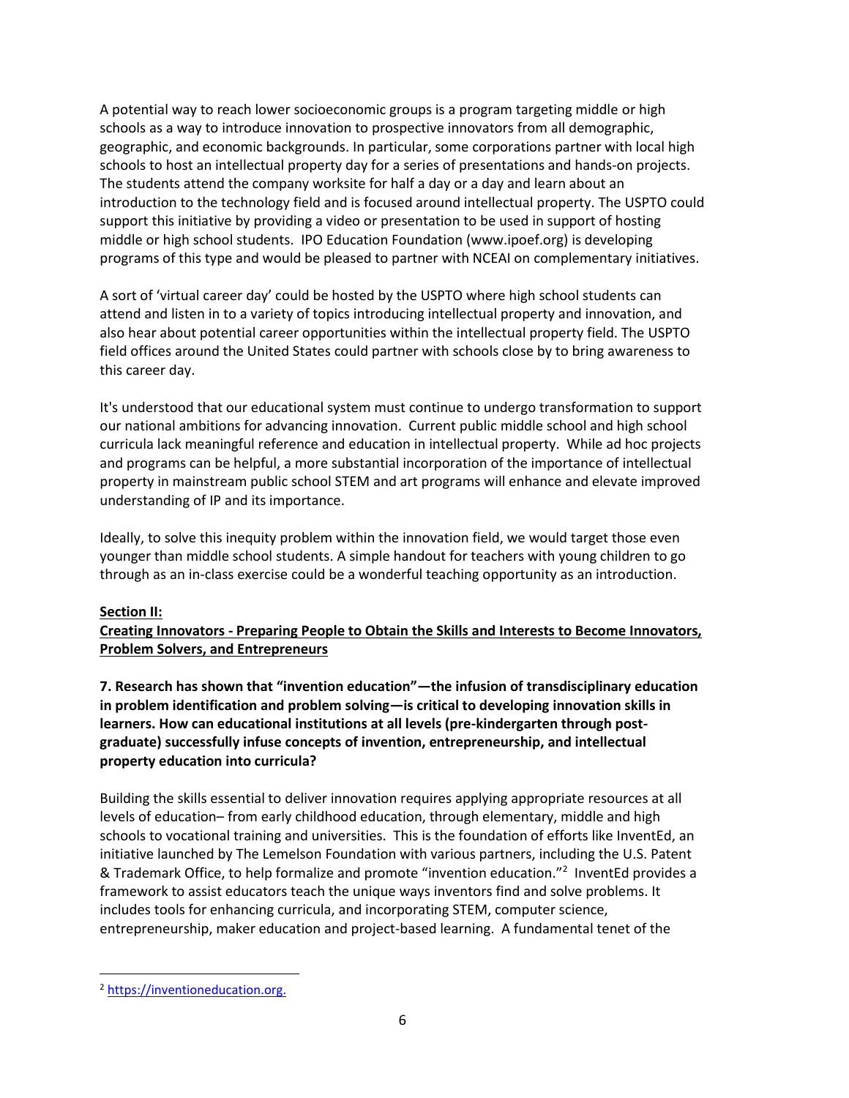A potential way to reach lower socioeconomic groups is a program targeting middle or high schools as a way to introduce innovation to prospective innovators from all demographic, geographic, and economic backgrounds. In particular, some corporations partner with local high schools to host an intellectual property day for a series of presentations and hands-on projects. The students attend the company worksite for half a day or a day and learn about an introduction to the technology field and is focused around intellectual property. The USPTO could support this initiative by providing a video or presentation to be used in support of hosting middle or high school students. IPO Education Foundation (www.ipoef.org) is developing programs of this type and would be pleased to partner with NCEAI on complementary initiatives.

A sort of 'virtual career day' could be hosted by the USPTO where high school students can attend and listen in to a variety of topics introducing intellectual property and innovation, and also hear about potential career opportunities within the intellectual property field. The USPTO field offices around the United States could partner with schools close by to bring awareness to this career day.

It's understood that our educational system must continue to undergo transformation to support our national ambitions for advancing innovation. Current public middle school and high school curricula lack meaningful reference and education in intellectual property. While ad hoc projects and programs can be helpful, a more substantial incorporation of the importance of intellectual property in mainstream public school STEM and art programs will enhance and elevate improved understanding of IP and its importance.

Ideally, to solve this inequity problem within the innovation field, we would target those even younger than middle school students. A simple handout for teachers with young children to go through as an in-class exercise could be a wonderful teaching opportunity as an introduction.

#### **Section II:**

**Creating Innovators - Preparing People to Obtain the Skills and Interests to Become Innovators, Problem Solvers, and Entrepreneurs**

**7. Research has shown that "invention education"—the infusion of transdisciplinary education in problem identification and problem solving—is critical to developing innovation skills in learners. How can educational institutions at all levels (pre-kindergarten through postgraduate) successfully infuse concepts of invention, entrepreneurship, and intellectual property education into curricula?**

Building the skills essential to deliver innovation requires applying appropriate resources at all levels of education– from early childhood education, through elementary, middle and high schools to vocational training and universities. This is the foundation of efforts like InventEd, an initiative launched by The Lemelson Foundation with various partners, including the U.S. Patent & Trademark Office, to help formalize and promote "invention education."<sup>2</sup> InventEd provides a framework to assist educators teach the unique ways inventors find and solve problems. It includes tools for enhancing curricula, and incorporating STEM, computer science, entrepreneurship, maker education and project-based learning. A fundamental tenet of the

<sup>2</sup> [https://inventioneducation.org.](https://inventioneducation.org/)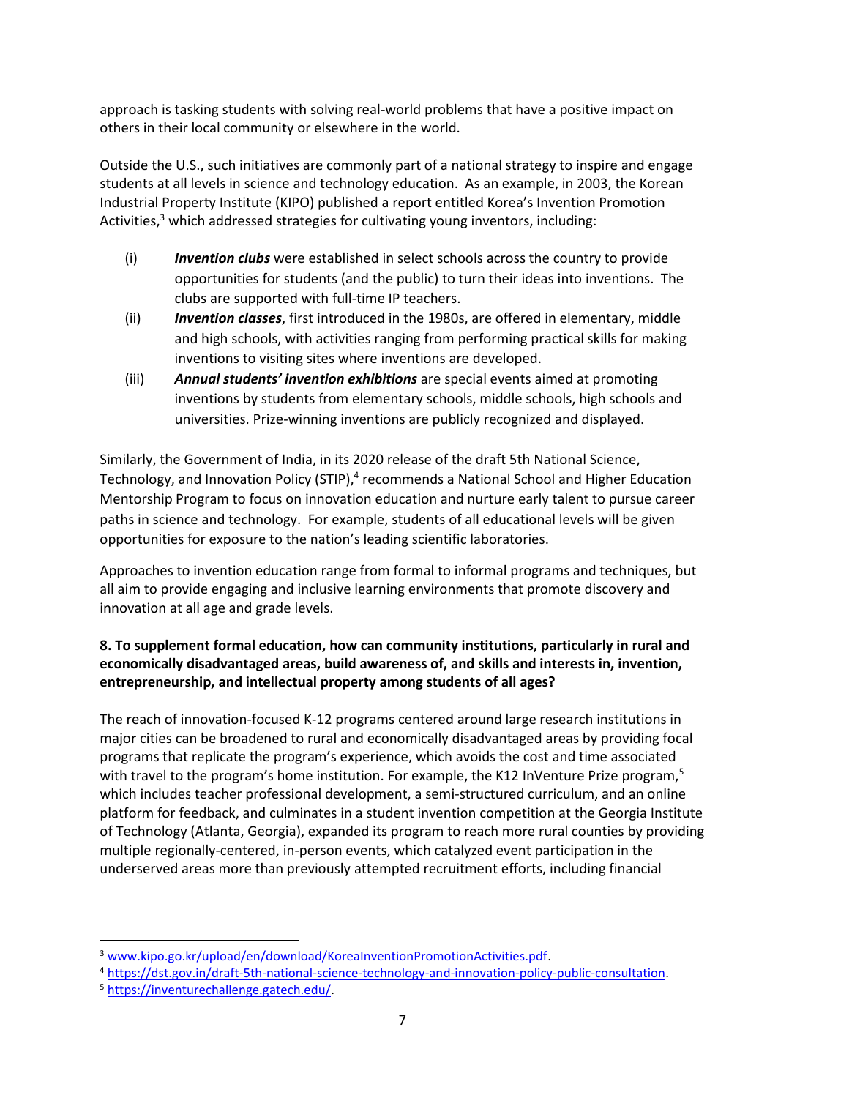approach is tasking students with solving real-world problems that have a positive impact on others in their local community or elsewhere in the world.

Outside the U.S., such initiatives are commonly part of a national strategy to inspire and engage students at all levels in science and technology education. As an example, in 2003, the Korean Industrial Property Institute (KIPO) published a report entitled Korea's Invention Promotion Activities, $3$  which addressed strategies for cultivating young inventors, including:

- (i) *Invention clubs* were established in select schools across the country to provide opportunities for students (and the public) to turn their ideas into inventions. The clubs are supported with full-time IP teachers.
- (ii) *Invention classes*, first introduced in the 1980s, are offered in elementary, middle and high schools, with activities ranging from performing practical skills for making inventions to visiting sites where inventions are developed.
- (iii) *Annual students' invention exhibitions* are special events aimed at promoting inventions by students from elementary schools, middle schools, high schools and universities. Prize-winning inventions are publicly recognized and displayed.

Similarly, the Government of India, in its 2020 release of the draft 5th National Science, Technology, and Innovation Policy (STIP),<sup>4</sup> recommends a National School and Higher Education Mentorship Program to focus on innovation education and nurture early talent to pursue career paths in science and technology. For example, students of all educational levels will be given opportunities for exposure to the nation's leading scientific laboratories.

Approaches to invention education range from formal to informal programs and techniques, but all aim to provide engaging and inclusive learning environments that promote discovery and innovation at all age and grade levels.

# **8. To supplement formal education, how can community institutions, particularly in rural and economically disadvantaged areas, build awareness of, and skills and interests in, invention, entrepreneurship, and intellectual property among students of all ages?**

The reach of innovation-focused K-12 programs centered around large research institutions in major cities can be broadened to rural and economically disadvantaged areas by providing focal programs that replicate the program's experience, which avoids the cost and time associated with travel to the program's home institution. For example, the K12 InVenture Prize program,<sup>5</sup> which includes teacher professional development, a semi-structured curriculum, and an online platform for feedback, and culminates in a student invention competition at the Georgia Institute of Technology (Atlanta, Georgia), expanded its program to reach more rural counties by providing multiple regionally-centered, in-person events, which catalyzed event participation in the underserved areas more than previously attempted recruitment efforts, including financial

<sup>3</sup> [www.kipo.go.kr/upload/en/download/KoreaInventionPromotionActivities.pdf.](http://www.kipo.go.kr/upload/en/download/KoreaInventionPromotionActivities.pdf)

<sup>4</sup> [https://dst.gov.in/draft-5th-national-science-technology-and-innovation-policy-public-consultation.](https://dst.gov.in/draft-5th-national-science-technology-and-innovation-policy-public-consultation)

<sup>5</sup> [https://inventurechallenge.gatech.edu/.](https://inventurechallenge.gatech.edu/)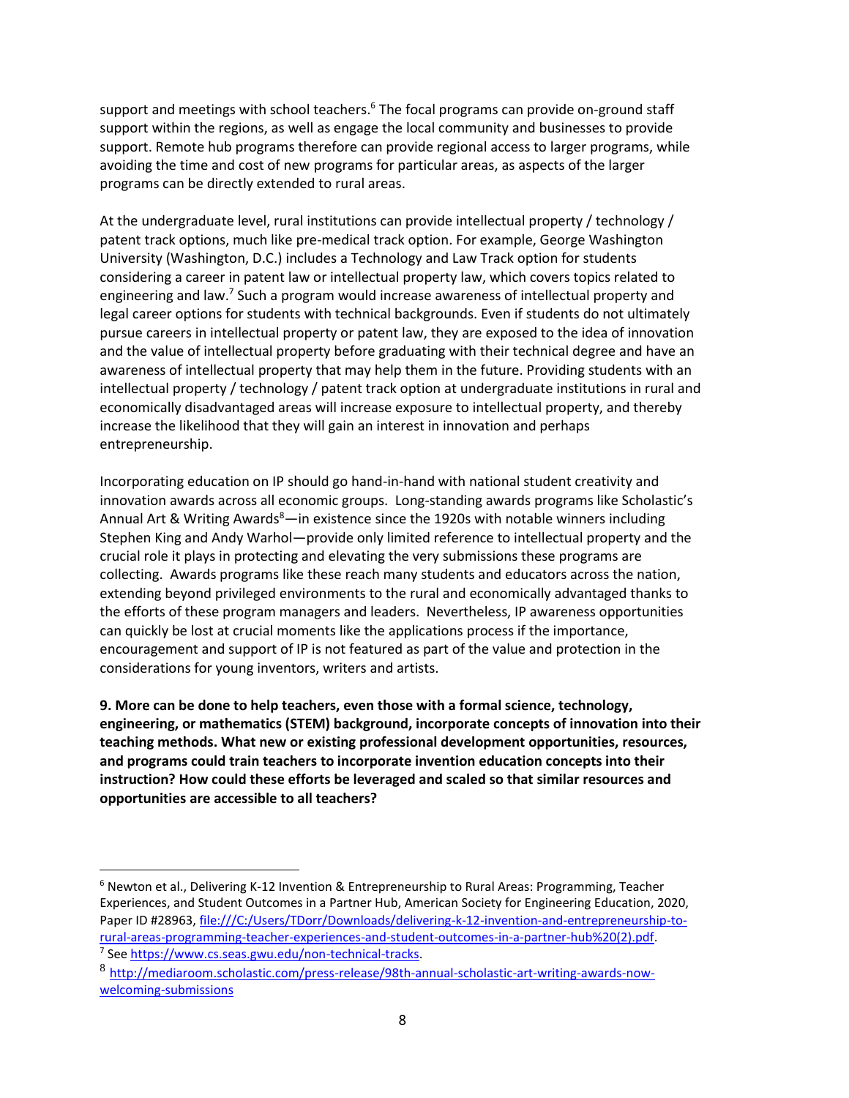support and meetings with school teachers.<sup>6</sup> The focal programs can provide on-ground staff support within the regions, as well as engage the local community and businesses to provide support. Remote hub programs therefore can provide regional access to larger programs, while avoiding the time and cost of new programs for particular areas, as aspects of the larger programs can be directly extended to rural areas.

At the undergraduate level, rural institutions can provide intellectual property / technology / patent track options, much like pre-medical track option. For example, George Washington University (Washington, D.C.) includes a Technology and Law Track option for students considering a career in patent law or intellectual property law, which covers topics related to engineering and law.<sup>7</sup> Such a program would increase awareness of intellectual property and legal career options for students with technical backgrounds. Even if students do not ultimately pursue careers in intellectual property or patent law, they are exposed to the idea of innovation and the value of intellectual property before graduating with their technical degree and have an awareness of intellectual property that may help them in the future. Providing students with an intellectual property / technology / patent track option at undergraduate institutions in rural and economically disadvantaged areas will increase exposure to intellectual property, and thereby increase the likelihood that they will gain an interest in innovation and perhaps entrepreneurship.

Incorporating education on IP should go hand-in-hand with national student creativity and innovation awards across all economic groups. Long-standing awards programs like Scholastic's Annual Art & Writing Awards $8$ —in existence since the 1920s with notable winners including Stephen King and Andy Warhol—provide only limited reference to intellectual property and the crucial role it plays in protecting and elevating the very submissions these programs are collecting. Awards programs like these reach many students and educators across the nation, extending beyond privileged environments to the rural and economically advantaged thanks to the efforts of these program managers and leaders. Nevertheless, IP awareness opportunities can quickly be lost at crucial moments like the applications process if the importance, encouragement and support of IP is not featured as part of the value and protection in the considerations for young inventors, writers and artists.

**9. More can be done to help teachers, even those with a formal science, technology, engineering, or mathematics (STEM) background, incorporate concepts of innovation into their teaching methods. What new or existing professional development opportunities, resources, and programs could train teachers to incorporate invention education concepts into their instruction? How could these efforts be leveraged and scaled so that similar resources and opportunities are accessible to all teachers?**

 $6$  Newton et al., Delivering K-12 Invention & Entrepreneurship to Rural Areas: Programming, Teacher Experiences, and Student Outcomes in a Partner Hub, American Society for Engineering Education, 2020, Paper ID #28963, [file:///C:/Users/TDorr/Downloads/delivering-k-12-invention-and-entrepreneurship-to](file:///C:/Users/TDorr/Downloads/delivering-k-12-invention-and-entrepreneurship-to-rural-areas-programming-teacher-experiences-and-student-outcomes-in-a-partner-hub%20(2).pdf)[rural-areas-programming-teacher-experiences-and-student-outcomes-in-a-partner-hub%20\(2\).pdf.](file:///C:/Users/TDorr/Downloads/delivering-k-12-invention-and-entrepreneurship-to-rural-areas-programming-teacher-experiences-and-student-outcomes-in-a-partner-hub%20(2).pdf)

<sup>&</sup>lt;sup>7</sup> See https://www.cs.seas.gwu.edu/non-technical-tracks. 8 [http://mediaroom.scholastic.com/press-release/98th-annual-scholastic-art-writing-awards-now-](http://mediaroom.scholastic.com/press-release/98th-annual-scholastic-art-writing-awards-now-welcoming-submissions)

[welcoming-submissions](http://mediaroom.scholastic.com/press-release/98th-annual-scholastic-art-writing-awards-now-welcoming-submissions)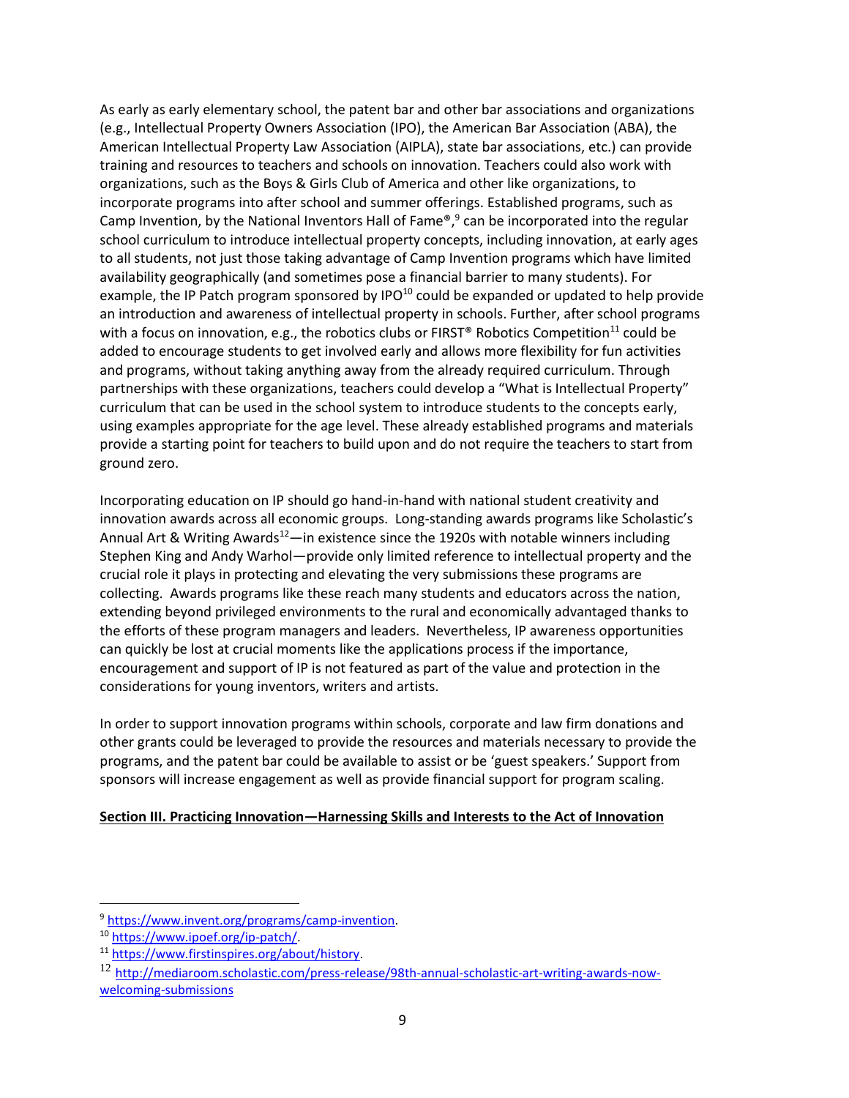As early as early elementary school, the patent bar and other bar associations and organizations (e.g., Intellectual Property Owners Association (IPO), the American Bar Association (ABA), the American Intellectual Property Law Association (AIPLA), state bar associations, etc.) can provide training and resources to teachers and schools on innovation. Teachers could also work with organizations, such as the Boys & Girls Club of America and other like organizations, to incorporate programs into after school and summer offerings. Established programs, such as Camp Invention, by the National Inventors Hall of Fame®,<sup>9</sup> can be incorporated into the regular school curriculum to introduce intellectual property concepts, including innovation, at early ages to all students, not just those taking advantage of Camp Invention programs which have limited availability geographically (and sometimes pose a financial barrier to many students). For example, the IP Patch program sponsored by IPO $10$  could be expanded or updated to help provide an introduction and awareness of intellectual property in schools. Further, after school programs with a focus on innovation, e.g., the robotics clubs or FIRST® Robotics Competition<sup>11</sup> could be added to encourage students to get involved early and allows more flexibility for fun activities and programs, without taking anything away from the already required curriculum. Through partnerships with these organizations, teachers could develop a "What is Intellectual Property" curriculum that can be used in the school system to introduce students to the concepts early, using examples appropriate for the age level. These already established programs and materials provide a starting point for teachers to build upon and do not require the teachers to start from ground zero.

Incorporating education on IP should go hand-in-hand with national student creativity and innovation awards across all economic groups. Long-standing awards programs like Scholastic's Annual Art & Writing Awards<sup>12</sup>—in existence since the 1920s with notable winners including Stephen King and Andy Warhol—provide only limited reference to intellectual property and the crucial role it plays in protecting and elevating the very submissions these programs are collecting. Awards programs like these reach many students and educators across the nation, extending beyond privileged environments to the rural and economically advantaged thanks to the efforts of these program managers and leaders. Nevertheless, IP awareness opportunities can quickly be lost at crucial moments like the applications process if the importance, encouragement and support of IP is not featured as part of the value and protection in the considerations for young inventors, writers and artists.

In order to support innovation programs within schools, corporate and law firm donations and other grants could be leveraged to provide the resources and materials necessary to provide the programs, and the patent bar could be available to assist or be 'guest speakers.' Support from sponsors will increase engagement as well as provide financial support for program scaling.

#### **Section III. Practicing Innovation—Harnessing Skills and Interests to the Act of Innovation**

<sup>&</sup>lt;sup>9</sup> [https://www.invent.org/programs/camp-invention.](https://www.invent.org/programs/camp-invention)

<sup>10</sup> [https://www.ipoef.org/ip-patch/.](https://www.ipoef.org/ip-patch/) 

<sup>11</sup> [https://www.firstinspires.org/about/history.](https://www.firstinspires.org/about/history)

<sup>12</sup> [http://mediaroom.scholastic.com/press-release/98th-annual-scholastic-art-writing-awards-now](http://mediaroom.scholastic.com/press-release/98th-annual-scholastic-art-writing-awards-now-welcoming-submissions)[welcoming-submissions](http://mediaroom.scholastic.com/press-release/98th-annual-scholastic-art-writing-awards-now-welcoming-submissions)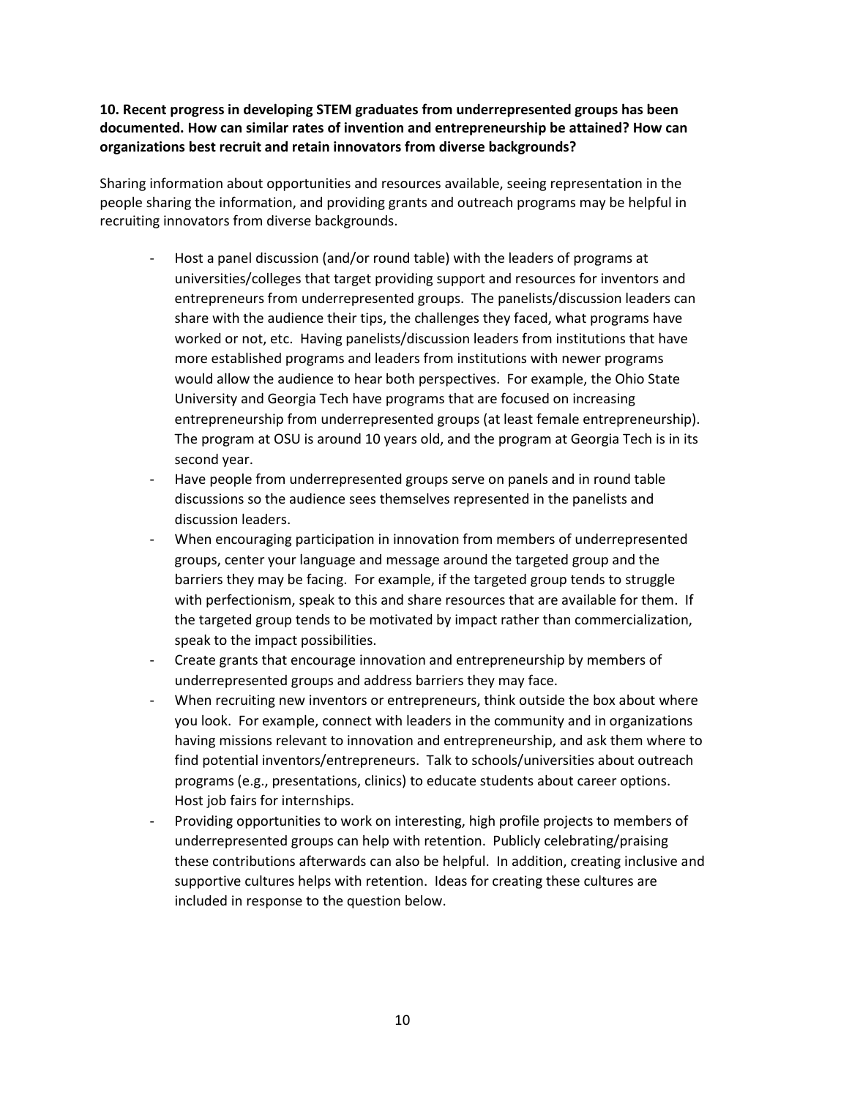**10. Recent progress in developing STEM graduates from underrepresented groups has been documented. How can similar rates of invention and entrepreneurship be attained? How can organizations best recruit and retain innovators from diverse backgrounds?**

Sharing information about opportunities and resources available, seeing representation in the people sharing the information, and providing grants and outreach programs may be helpful in recruiting innovators from diverse backgrounds.

- Host a panel discussion (and/or round table) with the leaders of programs at universities/colleges that target providing support and resources for inventors and entrepreneurs from underrepresented groups. The panelists/discussion leaders can share with the audience their tips, the challenges they faced, what programs have worked or not, etc. Having panelists/discussion leaders from institutions that have more established programs and leaders from institutions with newer programs would allow the audience to hear both perspectives. For example, the Ohio State University and Georgia Tech have programs that are focused on increasing entrepreneurship from underrepresented groups (at least female entrepreneurship). The program at OSU is around 10 years old, and the program at Georgia Tech is in its second year.
- Have people from underrepresented groups serve on panels and in round table discussions so the audience sees themselves represented in the panelists and discussion leaders.
- When encouraging participation in innovation from members of underrepresented groups, center your language and message around the targeted group and the barriers they may be facing. For example, if the targeted group tends to struggle with perfectionism, speak to this and share resources that are available for them. If the targeted group tends to be motivated by impact rather than commercialization, speak to the impact possibilities.
- Create grants that encourage innovation and entrepreneurship by members of underrepresented groups and address barriers they may face.
- When recruiting new inventors or entrepreneurs, think outside the box about where you look. For example, connect with leaders in the community and in organizations having missions relevant to innovation and entrepreneurship, and ask them where to find potential inventors/entrepreneurs. Talk to schools/universities about outreach programs (e.g., presentations, clinics) to educate students about career options. Host job fairs for internships.
- Providing opportunities to work on interesting, high profile projects to members of underrepresented groups can help with retention. Publicly celebrating/praising these contributions afterwards can also be helpful. In addition, creating inclusive and supportive cultures helps with retention. Ideas for creating these cultures are included in response to the question below.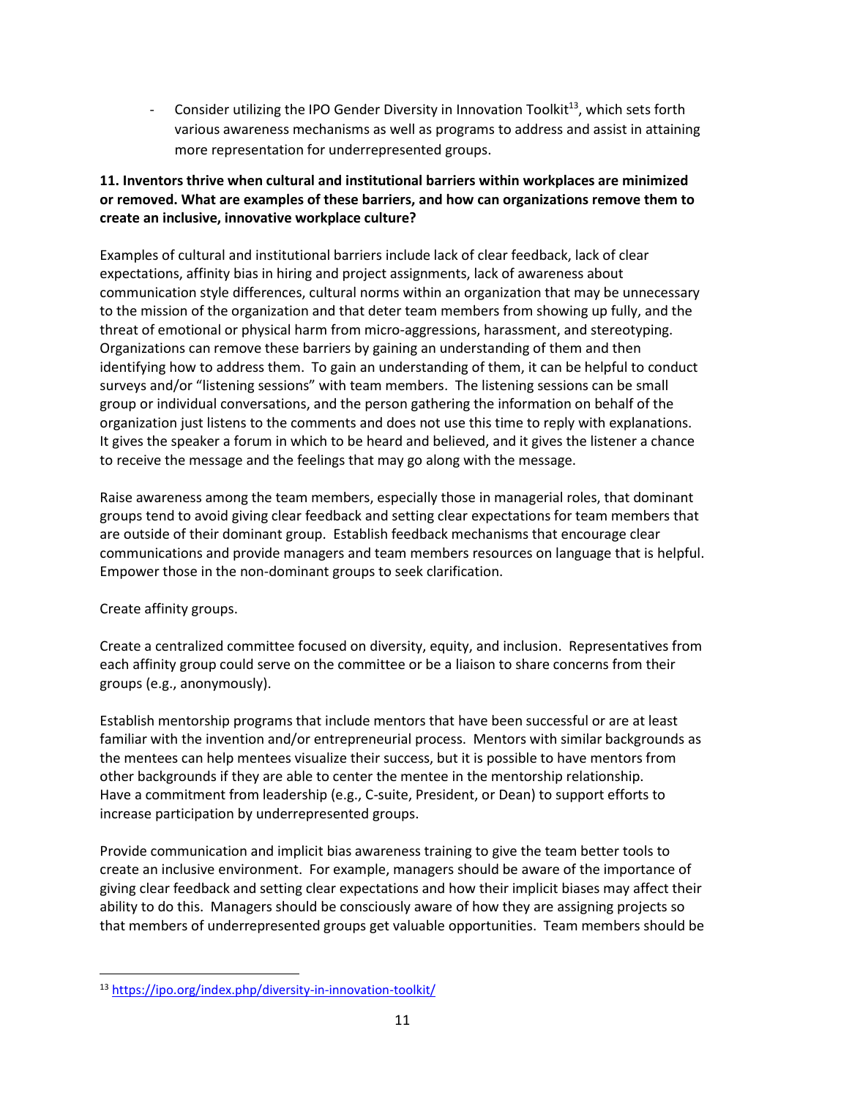- Consider utilizing the IPO Gender Diversity in Innovation Toolkit<sup>13</sup>, which sets forth various awareness mechanisms as well as programs to address and assist in attaining more representation for underrepresented groups.

### **11. Inventors thrive when cultural and institutional barriers within workplaces are minimized or removed. What are examples of these barriers, and how can organizations remove them to create an inclusive, innovative workplace culture?**

Examples of cultural and institutional barriers include lack of clear feedback, lack of clear expectations, affinity bias in hiring and project assignments, lack of awareness about communication style differences, cultural norms within an organization that may be unnecessary to the mission of the organization and that deter team members from showing up fully, and the threat of emotional or physical harm from micro-aggressions, harassment, and stereotyping. Organizations can remove these barriers by gaining an understanding of them and then identifying how to address them. To gain an understanding of them, it can be helpful to conduct surveys and/or "listening sessions" with team members. The listening sessions can be small group or individual conversations, and the person gathering the information on behalf of the organization just listens to the comments and does not use this time to reply with explanations. It gives the speaker a forum in which to be heard and believed, and it gives the listener a chance to receive the message and the feelings that may go along with the message.

Raise awareness among the team members, especially those in managerial roles, that dominant groups tend to avoid giving clear feedback and setting clear expectations for team members that are outside of their dominant group. Establish feedback mechanisms that encourage clear communications and provide managers and team members resources on language that is helpful. Empower those in the non-dominant groups to seek clarification.

Create affinity groups.

Create a centralized committee focused on diversity, equity, and inclusion. Representatives from each affinity group could serve on the committee or be a liaison to share concerns from their groups (e.g., anonymously).

Establish mentorship programs that include mentors that have been successful or are at least familiar with the invention and/or entrepreneurial process. Mentors with similar backgrounds as the mentees can help mentees visualize their success, but it is possible to have mentors from other backgrounds if they are able to center the mentee in the mentorship relationship. Have a commitment from leadership (e.g., C-suite, President, or Dean) to support efforts to increase participation by underrepresented groups.

Provide communication and implicit bias awareness training to give the team better tools to create an inclusive environment. For example, managers should be aware of the importance of giving clear feedback and setting clear expectations and how their implicit biases may affect their ability to do this. Managers should be consciously aware of how they are assigning projects so that members of underrepresented groups get valuable opportunities. Team members should be

<sup>13</sup> <https://ipo.org/index.php/diversity-in-innovation-toolkit/>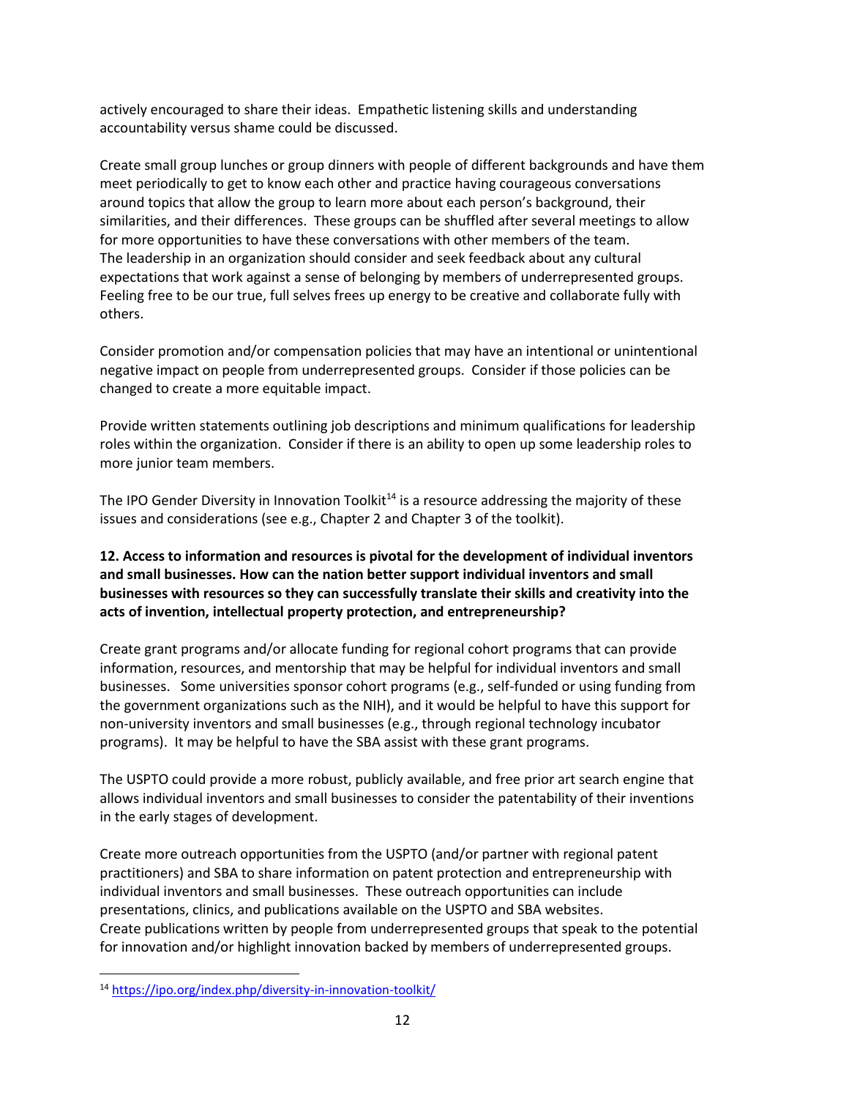actively encouraged to share their ideas. Empathetic listening skills and understanding accountability versus shame could be discussed.

Create small group lunches or group dinners with people of different backgrounds and have them meet periodically to get to know each other and practice having courageous conversations around topics that allow the group to learn more about each person's background, their similarities, and their differences. These groups can be shuffled after several meetings to allow for more opportunities to have these conversations with other members of the team. The leadership in an organization should consider and seek feedback about any cultural expectations that work against a sense of belonging by members of underrepresented groups. Feeling free to be our true, full selves frees up energy to be creative and collaborate fully with others.

Consider promotion and/or compensation policies that may have an intentional or unintentional negative impact on people from underrepresented groups. Consider if those policies can be changed to create a more equitable impact.

Provide written statements outlining job descriptions and minimum qualifications for leadership roles within the organization. Consider if there is an ability to open up some leadership roles to more junior team members.

The IPO Gender Diversity in Innovation Toolkit<sup>14</sup> is a resource addressing the majority of these issues and considerations (see e.g., Chapter 2 and Chapter 3 of the toolkit).

### **12. Access to information and resources is pivotal for the development of individual inventors and small businesses. How can the nation better support individual inventors and small businesses with resources so they can successfully translate their skills and creativity into the acts of invention, intellectual property protection, and entrepreneurship?**

Create grant programs and/or allocate funding for regional cohort programs that can provide information, resources, and mentorship that may be helpful for individual inventors and small businesses. Some universities sponsor cohort programs (e.g., self-funded or using funding from the government organizations such as the NIH), and it would be helpful to have this support for non-university inventors and small businesses (e.g., through regional technology incubator programs). It may be helpful to have the SBA assist with these grant programs.

The USPTO could provide a more robust, publicly available, and free prior art search engine that allows individual inventors and small businesses to consider the patentability of their inventions in the early stages of development.

Create more outreach opportunities from the USPTO (and/or partner with regional patent practitioners) and SBA to share information on patent protection and entrepreneurship with individual inventors and small businesses. These outreach opportunities can include presentations, clinics, and publications available on the USPTO and SBA websites. Create publications written by people from underrepresented groups that speak to the potential for innovation and/or highlight innovation backed by members of underrepresented groups.

<sup>14</sup> <https://ipo.org/index.php/diversity-in-innovation-toolkit/>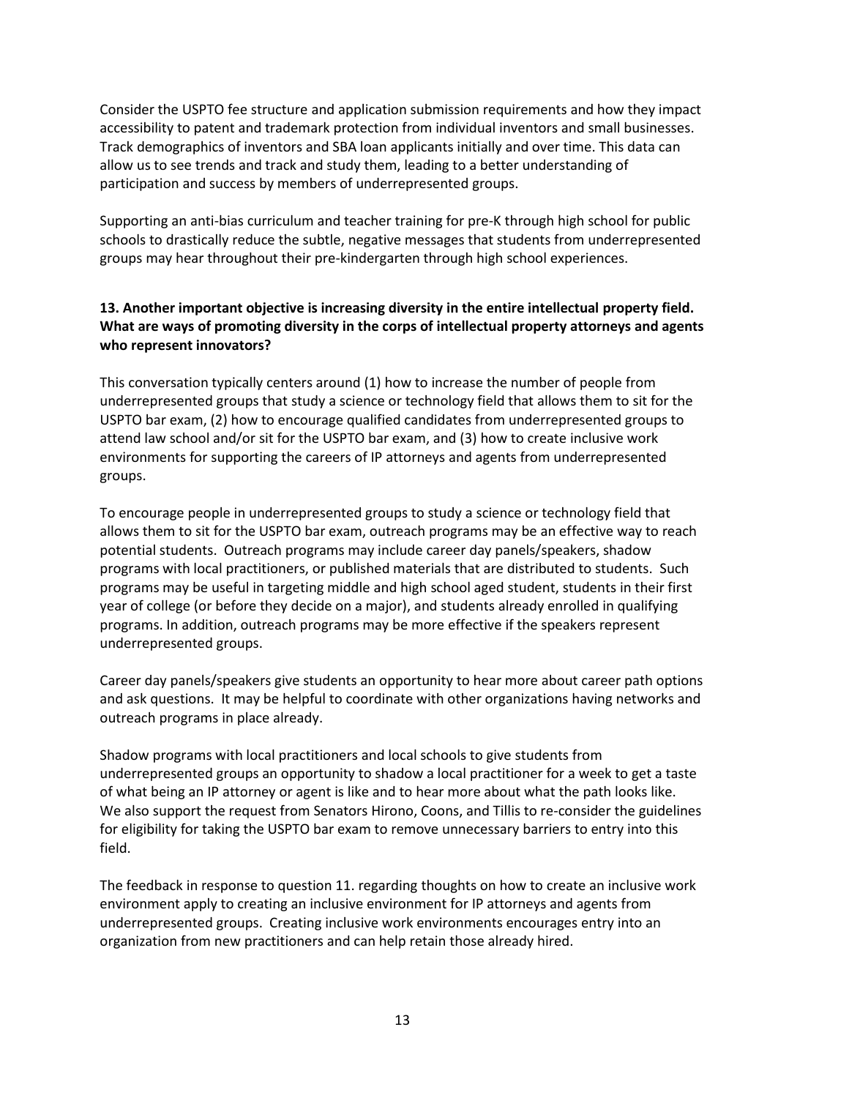Consider the USPTO fee structure and application submission requirements and how they impact accessibility to patent and trademark protection from individual inventors and small businesses. Track demographics of inventors and SBA loan applicants initially and over time. This data can allow us to see trends and track and study them, leading to a better understanding of participation and success by members of underrepresented groups.

Supporting an anti-bias curriculum and teacher training for pre-K through high school for public schools to drastically reduce the subtle, negative messages that students from underrepresented groups may hear throughout their pre-kindergarten through high school experiences.

### **13. Another important objective is increasing diversity in the entire intellectual property field. What are ways of promoting diversity in the corps of intellectual property attorneys and agents who represent innovators?**

This conversation typically centers around (1) how to increase the number of people from underrepresented groups that study a science or technology field that allows them to sit for the USPTO bar exam, (2) how to encourage qualified candidates from underrepresented groups to attend law school and/or sit for the USPTO bar exam, and (3) how to create inclusive work environments for supporting the careers of IP attorneys and agents from underrepresented groups.

To encourage people in underrepresented groups to study a science or technology field that allows them to sit for the USPTO bar exam, outreach programs may be an effective way to reach potential students. Outreach programs may include career day panels/speakers, shadow programs with local practitioners, or published materials that are distributed to students. Such programs may be useful in targeting middle and high school aged student, students in their first year of college (or before they decide on a major), and students already enrolled in qualifying programs. In addition, outreach programs may be more effective if the speakers represent underrepresented groups.

Career day panels/speakers give students an opportunity to hear more about career path options and ask questions. It may be helpful to coordinate with other organizations having networks and outreach programs in place already.

Shadow programs with local practitioners and local schools to give students from underrepresented groups an opportunity to shadow a local practitioner for a week to get a taste of what being an IP attorney or agent is like and to hear more about what the path looks like. We also support the request from Senators Hirono, Coons, and Tillis to re-consider the guidelines for eligibility for taking the USPTO bar exam to remove unnecessary barriers to entry into this field.

The feedback in response to question 11. regarding thoughts on how to create an inclusive work environment apply to creating an inclusive environment for IP attorneys and agents from underrepresented groups. Creating inclusive work environments encourages entry into an organization from new practitioners and can help retain those already hired.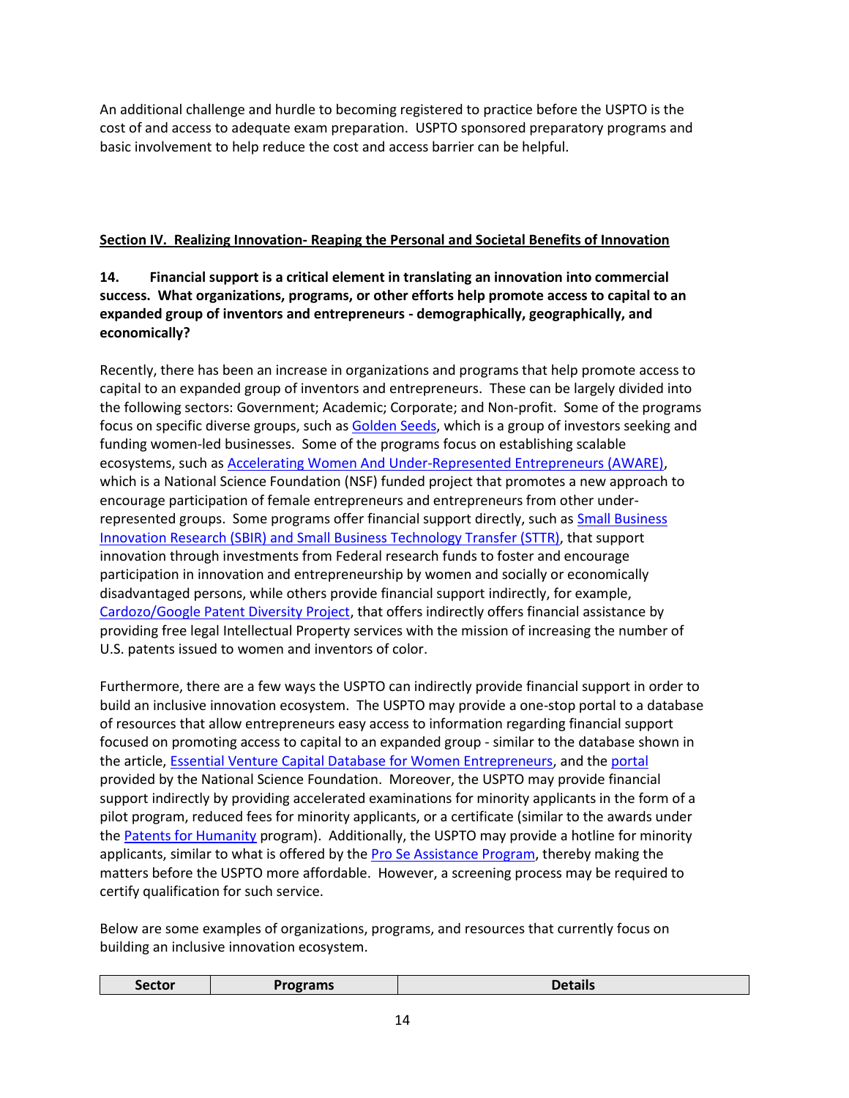An additional challenge and hurdle to becoming registered to practice before the USPTO is the cost of and access to adequate exam preparation. USPTO sponsored preparatory programs and basic involvement to help reduce the cost and access barrier can be helpful.

# **Section IV. Realizing Innovation- Reaping the Personal and Societal Benefits of Innovation**

# **14. Financial support is a critical element in translating an innovation into commercial success. What organizations, programs, or other efforts help promote access to capital to an expanded group of inventors and entrepreneurs - demographically, geographically, and economically?**

Recently, there has been an increase in organizations and programs that help promote access to capital to an expanded group of inventors and entrepreneurs. These can be largely divided into the following sectors: Government; Academic; Corporate; and Non-profit. Some of the programs focus on specific diverse groups, such as [Golden Seeds,](https://goldenseeds.com/) which is a group of investors seeking and funding women-led businesses. Some of the programs focus on establishing scalable ecosystems, such as [Accelerating Women And Under-Represented Entrepreneurs \(AWARE\),](https://www.nsf.gov/awardsearch/showAward?AWD_ID=1464507) which is a National Science Foundation (NSF) funded project that promotes a new approach to encourage participation of female entrepreneurs and entrepreneurs from other underrepresented groups. Some programs offer financial support directly, such as Small Business [Innovation Research \(SBIR\) and Small Business Technology Transfer \(STTR\),](https://www.sbir.gov/) that support innovation through investments from Federal research funds to foster and encourage participation in innovation and entrepreneurship by women and socially or economically disadvantaged persons, while others provide financial support indirectly, for example, [Cardozo/Google Patent Diversity Project,](https://cardozo.yu.edu/CardozoGoogleProjectforPatentDiversity) that offers indirectly offers financial assistance by providing free legal Intellectual Property services with the mission of increasing the number of U.S. patents issued to women and inventors of color.

Furthermore, there are a few ways the USPTO can indirectly provide financial support in order to build an inclusive innovation ecosystem. The USPTO may provide a one-stop portal to a database of resources that allow entrepreneurs easy access to information regarding financial support focused on promoting access to capital to an expanded group - similar to the database shown in the article, **Essential Venture Capital Database for Women Entrepreneurs**, and th[e portal](https://www.nsf.gov/funding/) provided by the National Science Foundation. Moreover, the USPTO may provide financial support indirectly by providing accelerated examinations for minority applicants in the form of a pilot program, reduced fees for minority applicants, or a certificate (similar to the awards under th[e Patents for Humanity](https://www.uspto.gov/ip-policy/patent-policy/patents-humanity) program). Additionally, the USPTO may provide a hotline for minority applicants, similar to what is offered by th[e Pro Se Assistance Program,](https://www.uspto.gov/learning-and-resources/newsletter/inventors-eye/introducing-pro-se-assistance-program) thereby making the matters before the USPTO more affordable. However, a screening process may be required to certify qualification for such service.

Below are some examples of organizations, programs, and resources that currently focus on building an inclusive innovation ecosystem.

| Sector | grams | <b>Details</b> |
|--------|-------|----------------|
|        |       |                |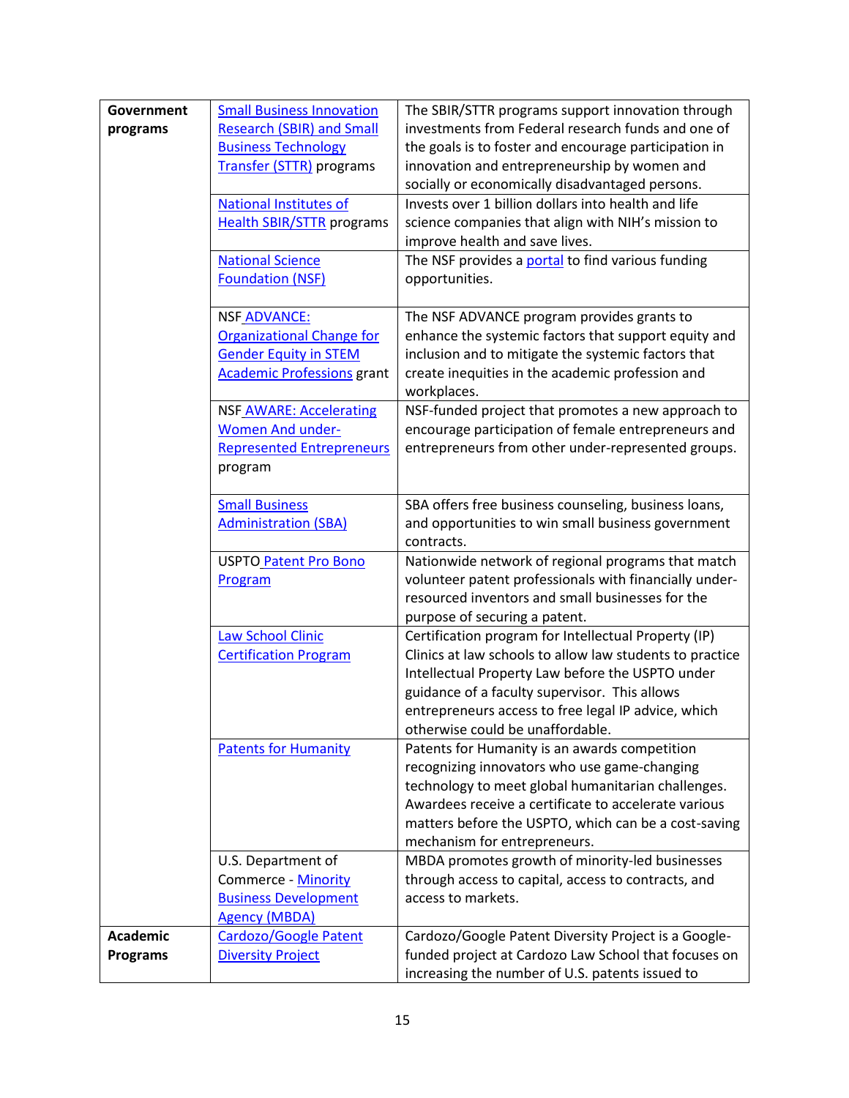| Government      | <b>Small Business Innovation</b>  | The SBIR/STTR programs support innovation through                                                          |
|-----------------|-----------------------------------|------------------------------------------------------------------------------------------------------------|
| programs        | <b>Research (SBIR) and Small</b>  | investments from Federal research funds and one of                                                         |
|                 | <b>Business Technology</b>        | the goals is to foster and encourage participation in                                                      |
|                 | Transfer (STTR) programs          | innovation and entrepreneurship by women and                                                               |
|                 |                                   | socially or economically disadvantaged persons.                                                            |
|                 | <b>National Institutes of</b>     | Invests over 1 billion dollars into health and life                                                        |
|                 | <b>Health SBIR/STTR programs</b>  | science companies that align with NIH's mission to                                                         |
|                 |                                   | improve health and save lives.                                                                             |
|                 | <b>National Science</b>           | The NSF provides a portal to find various funding                                                          |
|                 | <b>Foundation (NSF)</b>           | opportunities.                                                                                             |
|                 |                                   |                                                                                                            |
|                 | <b>NSF ADVANCE:</b>               | The NSF ADVANCE program provides grants to                                                                 |
|                 | <b>Organizational Change for</b>  | enhance the systemic factors that support equity and                                                       |
|                 | <b>Gender Equity in STEM</b>      | inclusion and to mitigate the systemic factors that                                                        |
|                 | <b>Academic Professions grant</b> | create inequities in the academic profession and                                                           |
|                 |                                   | workplaces.                                                                                                |
|                 | <b>NSF AWARE: Accelerating</b>    | NSF-funded project that promotes a new approach to                                                         |
|                 | <b>Women And under-</b>           | encourage participation of female entrepreneurs and                                                        |
|                 | <b>Represented Entrepreneurs</b>  | entrepreneurs from other under-represented groups.                                                         |
|                 | program                           |                                                                                                            |
|                 |                                   |                                                                                                            |
|                 | <b>Small Business</b>             | SBA offers free business counseling, business loans,                                                       |
|                 | <b>Administration (SBA)</b>       | and opportunities to win small business government                                                         |
|                 |                                   | contracts.                                                                                                 |
|                 | <b>USPTO Patent Pro Bono</b>      | Nationwide network of regional programs that match                                                         |
|                 | Program                           | volunteer patent professionals with financially under-<br>resourced inventors and small businesses for the |
|                 |                                   | purpose of securing a patent.                                                                              |
|                 | <b>Law School Clinic</b>          | Certification program for Intellectual Property (IP)                                                       |
|                 | <b>Certification Program</b>      | Clinics at law schools to allow law students to practice                                                   |
|                 |                                   | Intellectual Property Law before the USPTO under                                                           |
|                 |                                   | guidance of a faculty supervisor. This allows                                                              |
|                 |                                   | entrepreneurs access to free legal IP advice, which                                                        |
|                 |                                   | otherwise could be unaffordable.                                                                           |
|                 | <b>Patents for Humanity</b>       | Patents for Humanity is an awards competition                                                              |
|                 |                                   | recognizing innovators who use game-changing                                                               |
|                 |                                   | technology to meet global humanitarian challenges.                                                         |
|                 |                                   | Awardees receive a certificate to accelerate various                                                       |
|                 |                                   | matters before the USPTO, which can be a cost-saving                                                       |
|                 |                                   | mechanism for entrepreneurs.                                                                               |
|                 | U.S. Department of                | MBDA promotes growth of minority-led businesses                                                            |
|                 | Commerce - Minority               | through access to capital, access to contracts, and                                                        |
|                 | <b>Business Development</b>       | access to markets.                                                                                         |
|                 | <b>Agency (MBDA)</b>              |                                                                                                            |
| <b>Academic</b> | <b>Cardozo/Google Patent</b>      | Cardozo/Google Patent Diversity Project is a Google-                                                       |
| <b>Programs</b> | <b>Diversity Project</b>          | funded project at Cardozo Law School that focuses on                                                       |
|                 |                                   | increasing the number of U.S. patents issued to                                                            |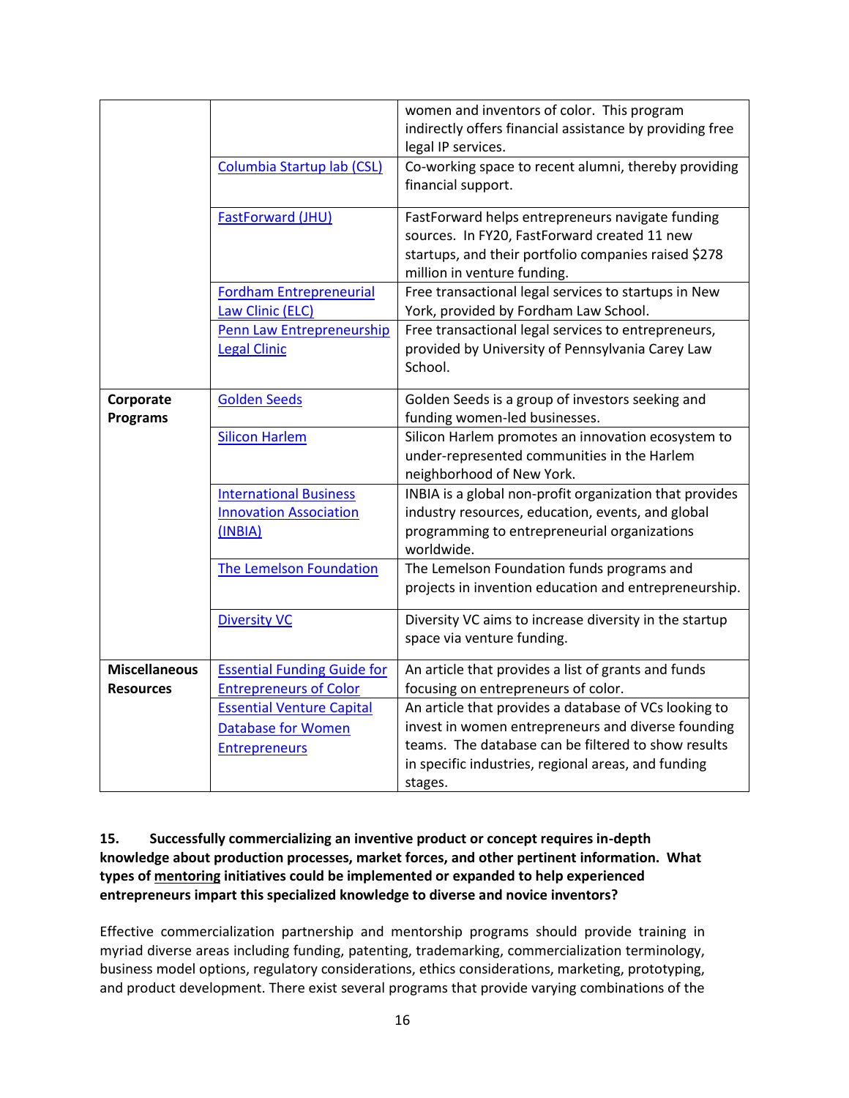|                              |                                                                           | women and inventors of color. This program<br>indirectly offers financial assistance by providing free<br>legal IP services.                                                            |
|------------------------------|---------------------------------------------------------------------------|-----------------------------------------------------------------------------------------------------------------------------------------------------------------------------------------|
|                              | Columbia Startup lab (CSL)                                                | Co-working space to recent alumni, thereby providing<br>financial support.                                                                                                              |
|                              | <b>FastForward (JHU)</b>                                                  | FastForward helps entrepreneurs navigate funding<br>sources. In FY20, FastForward created 11 new<br>startups, and their portfolio companies raised \$278<br>million in venture funding. |
|                              | <b>Fordham Entrepreneurial</b><br>Law Clinic (ELC)                        | Free transactional legal services to startups in New<br>York, provided by Fordham Law School.                                                                                           |
|                              | Penn Law Entrepreneurship<br><b>Legal Clinic</b>                          | Free transactional legal services to entrepreneurs,<br>provided by University of Pennsylvania Carey Law<br>School.                                                                      |
| Corporate<br><b>Programs</b> | <b>Golden Seeds</b>                                                       | Golden Seeds is a group of investors seeking and<br>funding women-led businesses.                                                                                                       |
|                              | <b>Silicon Harlem</b>                                                     | Silicon Harlem promotes an innovation ecosystem to<br>under-represented communities in the Harlem<br>neighborhood of New York.                                                          |
|                              | <b>International Business</b><br><b>Innovation Association</b><br>(INBIA) | INBIA is a global non-profit organization that provides<br>industry resources, education, events, and global<br>programming to entrepreneurial organizations<br>worldwide.              |
|                              | The Lemelson Foundation                                                   | The Lemelson Foundation funds programs and<br>projects in invention education and entrepreneurship.                                                                                     |
|                              | <b>Diversity VC</b>                                                       | Diversity VC aims to increase diversity in the startup<br>space via venture funding.                                                                                                    |
| <b>Miscellaneous</b>         | <b>Essential Funding Guide for</b>                                        | An article that provides a list of grants and funds                                                                                                                                     |
| <b>Resources</b>             | <b>Entrepreneurs of Color</b>                                             | focusing on entrepreneurs of color.                                                                                                                                                     |
|                              | <b>Essential Venture Capital</b>                                          | An article that provides a database of VCs looking to                                                                                                                                   |
|                              | <b>Database for Women</b>                                                 | invest in women entrepreneurs and diverse founding<br>teams. The database can be filtered to show results                                                                               |
|                              | <b>Entrepreneurs</b>                                                      | in specific industries, regional areas, and funding                                                                                                                                     |
|                              |                                                                           | stages.                                                                                                                                                                                 |

### **15. Successfully commercializing an inventive product or concept requires in-depth knowledge about production processes, market forces, and other pertinent information. What types of mentoring initiatives could be implemented or expanded to help experienced entrepreneurs impart this specialized knowledge to diverse and novice inventors?**

Effective commercialization partnership and mentorship programs should provide training in myriad diverse areas including funding, patenting, trademarking, commercialization terminology, business model options, regulatory considerations, ethics considerations, marketing, prototyping, and product development. There exist several programs that provide varying combinations of the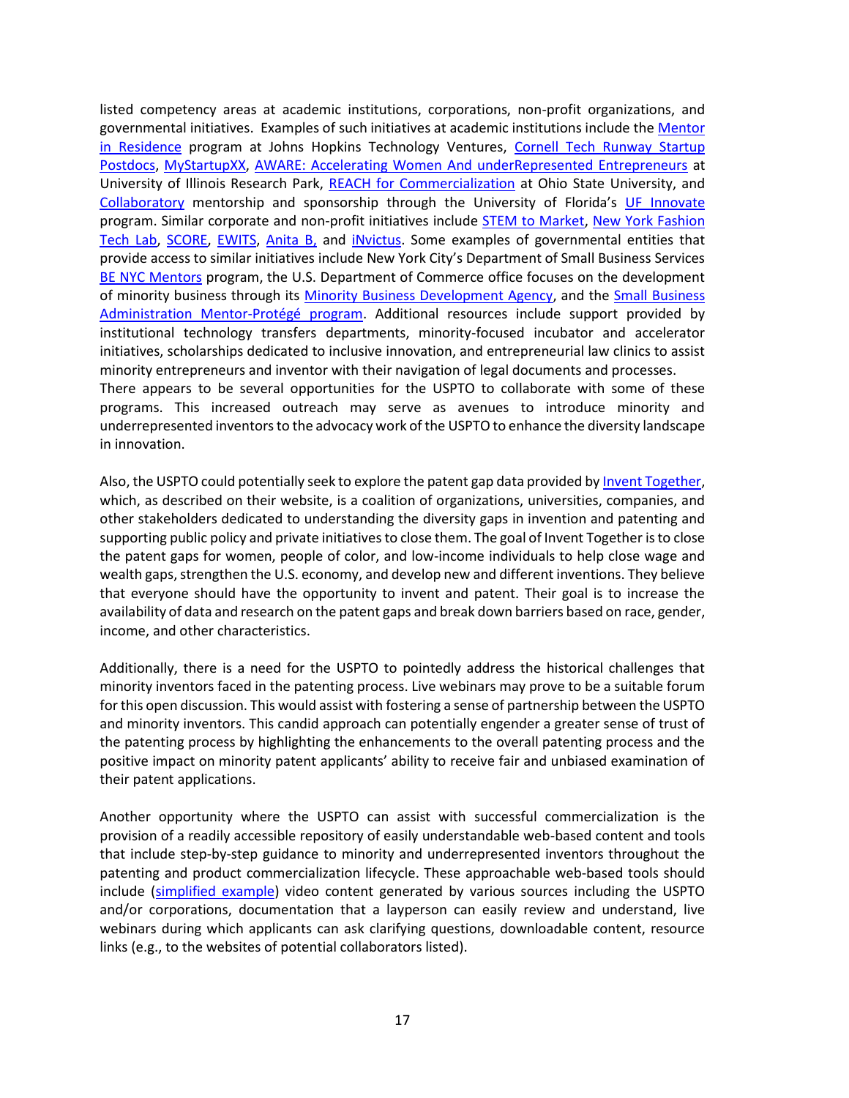listed competency areas at academic institutions, corporations, non-profit organizations, and governmental initiatives. Examples of such initiatives at academic institutions include th[e Mentor](https://ventures.jhu.edu/programs-%20%20services/fastforward/resources-programs/mentors-in-residence/)  [in Residence](https://ventures.jhu.edu/programs-%20%20services/fastforward/resources-programs/mentors-in-residence/) program at Johns Hopkins Technology Ventures, [Cornell Tech Runway Startup](https://tech.cornell.edu/programs/phd/startup-postdocs/)  [Postdocs,](https://tech.cornell.edu/programs/phd/startup-postdocs/) [MyStartupXX,](https://rady.ucsd.edu/invest/mystartupxx/) [AWARE: Accelerating Women And underRepresented Entrepreneurs](https://researchpark.illinois.edu/resource/aware/) at University of Illinois Research Park, [REACH for Commercialization](https://advance.osu.edu/initiatives/project-reach/) at Ohio State University, and [Collaboratory](http://innovate.research.ufl.edu/the-hub/collaboratory-2/#:~:text=is%20the%20Collaboratory%3F-,The%20Collaboratory%20for%20Women%20Innovators%20seeks%20to%20inspire%2C%20educate%2C%20and,their%20personal%20and%20professional%20development.) mentorship and sponsorship through the University of Florida's [UF Innovate](http://innovate.research.ufl.edu/about/) program. Similar corporate and non-profit initiatives include [STEM to Market,](https://www.stemtomarket.org/) [New York Fashion](https://nyftlab.com/)  [Tech Lab,](https://nyftlab.com/) [SCORE,](https://core.score.org/topics/minority-entrepreneurs) [EWITS,](http://ewits.org/) [Anita B,](https://anitab.org/) and [iNvictus.](https://invictusoffice.com/mentorship/) Some examples of governmental entities that provide access to similar initiatives include New York City's Department of Small Business Services BE NYC [Mentors](https://www.bementors.nyc/) program, the U.S. Department of Commerce office focuses on the development of minority business through its [Minority Business Development Agency,](https://www.mbda.gov/enterprising-women-of-color) and the [Small Business](https://www.sba.gov/federal-contracting/contracting-assistance-programs/all-small-mentor-protege-program)  [Administration Mentor-Protégé program.](https://www.sba.gov/federal-contracting/contracting-assistance-programs/all-small-mentor-protege-program) Additional resources include support provided by institutional technology transfers departments, minority-focused incubator and accelerator initiatives, scholarships dedicated to inclusive innovation, and entrepreneurial law clinics to assist minority entrepreneurs and inventor with their navigation of legal documents and processes. There appears to be several opportunities for the USPTO to collaborate with some of these programs. This increased outreach may serve as avenues to introduce minority and underrepresented inventors to the advocacy work of the USPTO to enhance the diversity landscape

Also, the USPTO could potentially seek to explore the patent gap data provided b[y Invent Together,](https://inventtogether.org/about/) which, as described on their website, is a coalition of organizations, universities, companies, and other stakeholders dedicated to understanding the diversity gaps in invention and patenting and supporting public policy and private initiatives to close them. The goal of Invent Together is to close the patent gaps for women, people of color, and low-income individuals to help close wage and wealth gaps, strengthen the U.S. economy, and develop new and different inventions. They believe that everyone should have the opportunity to invent and patent. Their goal is to increase the availability of data and research on the patent gaps and break down barriers based on race, gender, income, and other characteristics.

in innovation.

Additionally, there is a need for the USPTO to pointedly address the historical challenges that minority inventors faced in the patenting process. Live webinars may prove to be a suitable forum for this open discussion. This would assist with fostering a sense of partnership between the USPTO and minority inventors. This candid approach can potentially engender a greater sense of trust of the patenting process by highlighting the enhancements to the overall patenting process and the positive impact on minority patent applicants' ability to receive fair and unbiased examination of their patent applications.

Another opportunity where the USPTO can assist with successful commercialization is the provision of a readily accessible repository of easily understandable web-based content and tools that include step-by-step guidance to minority and underrepresented inventors throughout the patenting and product commercialization lifecycle. These approachable web-based tools should include [\(simplified example\)](https://www.uspto.gov/kids/index.html) video content generated by various sources including the USPTO and/or corporations, documentation that a layperson can easily review and understand, live webinars during which applicants can ask clarifying questions, downloadable content, resource links (e.g., to the websites of potential collaborators listed).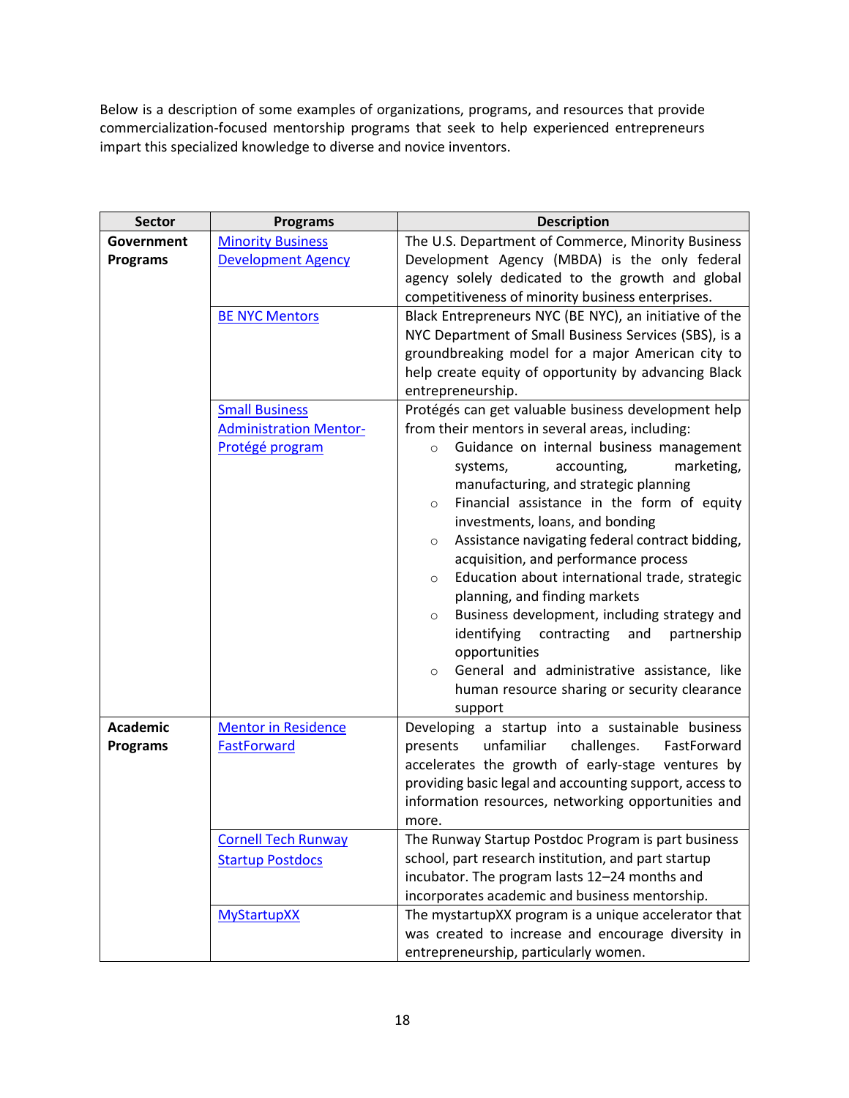Below is a description of some examples of organizations, programs, and resources that provide commercialization-focused mentorship programs that seek to help experienced entrepreneurs impart this specialized knowledge to diverse and novice inventors.

| <b>Sector</b>   | <b>Programs</b>               | <b>Description</b>                                                                                         |  |
|-----------------|-------------------------------|------------------------------------------------------------------------------------------------------------|--|
| Government      | <b>Minority Business</b>      | The U.S. Department of Commerce, Minority Business                                                         |  |
| <b>Programs</b> | <b>Development Agency</b>     | Development Agency (MBDA) is the only federal<br>agency solely dedicated to the growth and global          |  |
|                 |                               | competitiveness of minority business enterprises.                                                          |  |
|                 | <b>BE NYC Mentors</b>         | Black Entrepreneurs NYC (BE NYC), an initiative of the                                                     |  |
|                 |                               | NYC Department of Small Business Services (SBS), is a                                                      |  |
|                 |                               | groundbreaking model for a major American city to                                                          |  |
|                 |                               | help create equity of opportunity by advancing Black                                                       |  |
|                 |                               | entrepreneurship.                                                                                          |  |
|                 | <b>Small Business</b>         | Protégés can get valuable business development help                                                        |  |
|                 | <b>Administration Mentor-</b> | from their mentors in several areas, including:                                                            |  |
|                 | Protégé program               | Guidance on internal business management<br>$\circ$                                                        |  |
|                 |                               | accounting,<br>marketing,<br>systems,                                                                      |  |
|                 |                               | manufacturing, and strategic planning                                                                      |  |
|                 |                               | Financial assistance in the form of equity<br>$\circ$                                                      |  |
|                 |                               | investments, loans, and bonding                                                                            |  |
|                 |                               | Assistance navigating federal contract bidding,<br>$\circ$                                                 |  |
|                 |                               | acquisition, and performance process                                                                       |  |
|                 |                               | Education about international trade, strategic<br>$\circ$                                                  |  |
|                 |                               | planning, and finding markets<br>Business development, including strategy and                              |  |
|                 |                               | $\circ$<br>identifying contracting<br>and<br>partnership                                                   |  |
|                 |                               | opportunities                                                                                              |  |
|                 |                               | General and administrative assistance, like<br>$\circ$                                                     |  |
|                 |                               | human resource sharing or security clearance                                                               |  |
|                 |                               | support                                                                                                    |  |
| <b>Academic</b> | <b>Mentor in Residence</b>    | Developing a startup into a sustainable business                                                           |  |
| <b>Programs</b> | <b>FastForward</b>            | unfamiliar<br>presents<br>challenges.<br>FastForward                                                       |  |
|                 |                               | accelerates the growth of early-stage ventures by                                                          |  |
|                 |                               | providing basic legal and accounting support, access to                                                    |  |
|                 |                               | information resources, networking opportunities and                                                        |  |
|                 |                               | more.                                                                                                      |  |
|                 | <b>Cornell Tech Runway</b>    | The Runway Startup Postdoc Program is part business                                                        |  |
|                 | <b>Startup Postdocs</b>       | school, part research institution, and part startup                                                        |  |
|                 |                               | incubator. The program lasts 12-24 months and                                                              |  |
|                 |                               | incorporates academic and business mentorship.                                                             |  |
|                 | <b>MyStartupXX</b>            | The mystartupXX program is a unique accelerator that<br>was created to increase and encourage diversity in |  |
|                 |                               | entrepreneurship, particularly women.                                                                      |  |
|                 |                               |                                                                                                            |  |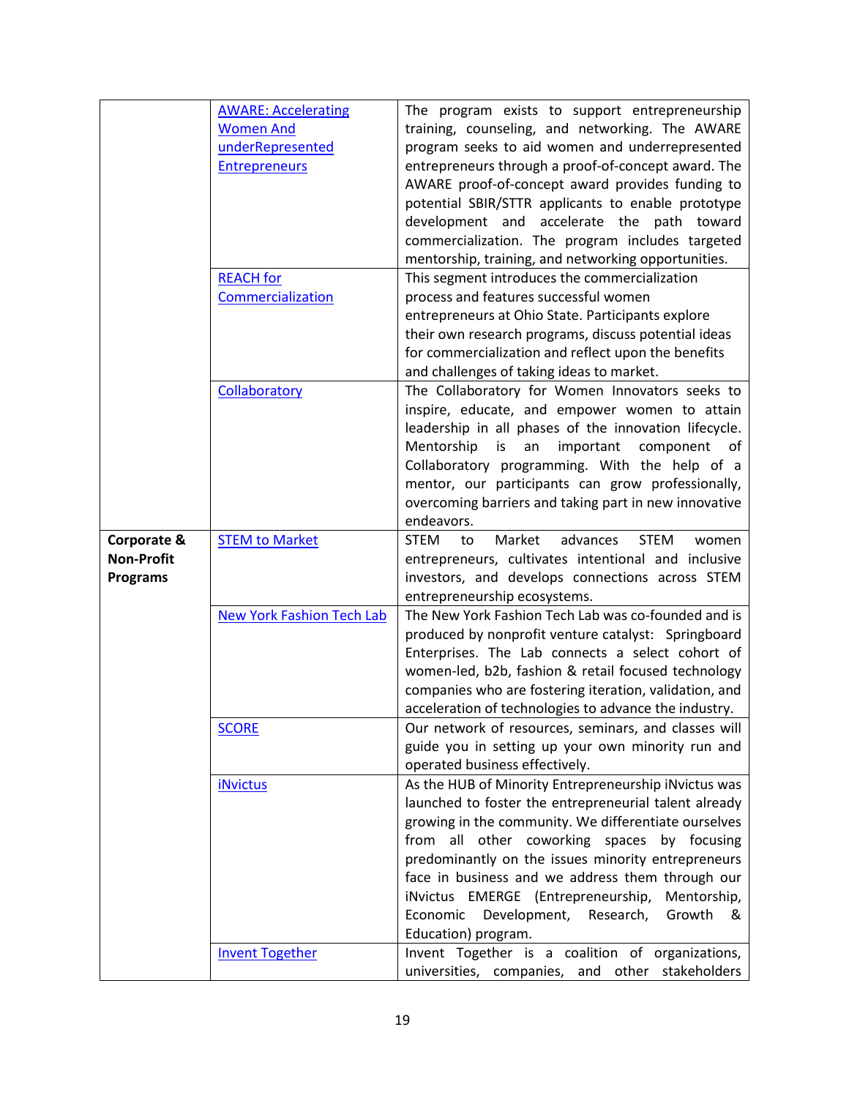|                   | <b>AWARE: Accelerating</b>       | The program exists to support entrepreneurship                  |
|-------------------|----------------------------------|-----------------------------------------------------------------|
|                   | <b>Women And</b>                 | training, counseling, and networking. The AWARE                 |
|                   | underRepresented                 | program seeks to aid women and underrepresented                 |
|                   | <b>Entrepreneurs</b>             | entrepreneurs through a proof-of-concept award. The             |
|                   |                                  | AWARE proof-of-concept award provides funding to                |
|                   |                                  | potential SBIR/STTR applicants to enable prototype              |
|                   |                                  | development and accelerate the path toward                      |
|                   |                                  | commercialization. The program includes targeted                |
|                   |                                  | mentorship, training, and networking opportunities.             |
|                   | <b>REACH</b> for                 | This segment introduces the commercialization                   |
|                   | Commercialization                | process and features successful women                           |
|                   |                                  | entrepreneurs at Ohio State. Participants explore               |
|                   |                                  | their own research programs, discuss potential ideas            |
|                   |                                  | for commercialization and reflect upon the benefits             |
|                   |                                  | and challenges of taking ideas to market.                       |
|                   | Collaboratory                    | The Collaboratory for Women Innovators seeks to                 |
|                   |                                  | inspire, educate, and empower women to attain                   |
|                   |                                  | leadership in all phases of the innovation lifecycle.           |
|                   |                                  | Mentorship<br>is<br>important<br>an<br>component<br>0f          |
|                   |                                  | Collaboratory programming. With the help of a                   |
|                   |                                  | mentor, our participants can grow professionally,               |
|                   |                                  | overcoming barriers and taking part in new innovative           |
|                   |                                  | endeavors.                                                      |
| Corporate &       | <b>STEM to Market</b>            | <b>STEM</b><br>Market<br>advances<br><b>STEM</b><br>to<br>women |
| <b>Non-Profit</b> |                                  | entrepreneurs, cultivates intentional and inclusive             |
| <b>Programs</b>   |                                  | investors, and develops connections across STEM                 |
|                   |                                  | entrepreneurship ecosystems.                                    |
|                   | <b>New York Fashion Tech Lab</b> | The New York Fashion Tech Lab was co-founded and is             |
|                   |                                  | produced by nonprofit venture catalyst: Springboard             |
|                   |                                  | Enterprises. The Lab connects a select cohort of                |
|                   |                                  | women-led, b2b, fashion & retail focused technology             |
|                   |                                  | companies who are fostering iteration, validation, and          |
|                   |                                  | acceleration of technologies to advance the industry.           |
|                   | <b>SCORE</b>                     | Our network of resources, seminars, and classes will            |
|                   |                                  | guide you in setting up your own minority run and               |
|                   |                                  | operated business effectively.                                  |
|                   | <b>iNvictus</b>                  | As the HUB of Minority Entrepreneurship iNvictus was            |
|                   |                                  | launched to foster the entrepreneurial talent already           |
|                   |                                  | growing in the community. We differentiate ourselves            |
|                   |                                  | from all other coworking spaces by focusing                     |
|                   |                                  | predominantly on the issues minority entrepreneurs              |
|                   |                                  | face in business and we address them through our                |
|                   |                                  | iNvictus EMERGE (Entrepreneurship,<br>Mentorship,               |
|                   |                                  | Development, Research,<br>Growth<br>Economic<br>&               |
|                   |                                  | Education) program.                                             |
|                   | <b>Invent Together</b>           | Invent Together is a coalition of organizations,                |
|                   |                                  | universities, companies, and other stakeholders                 |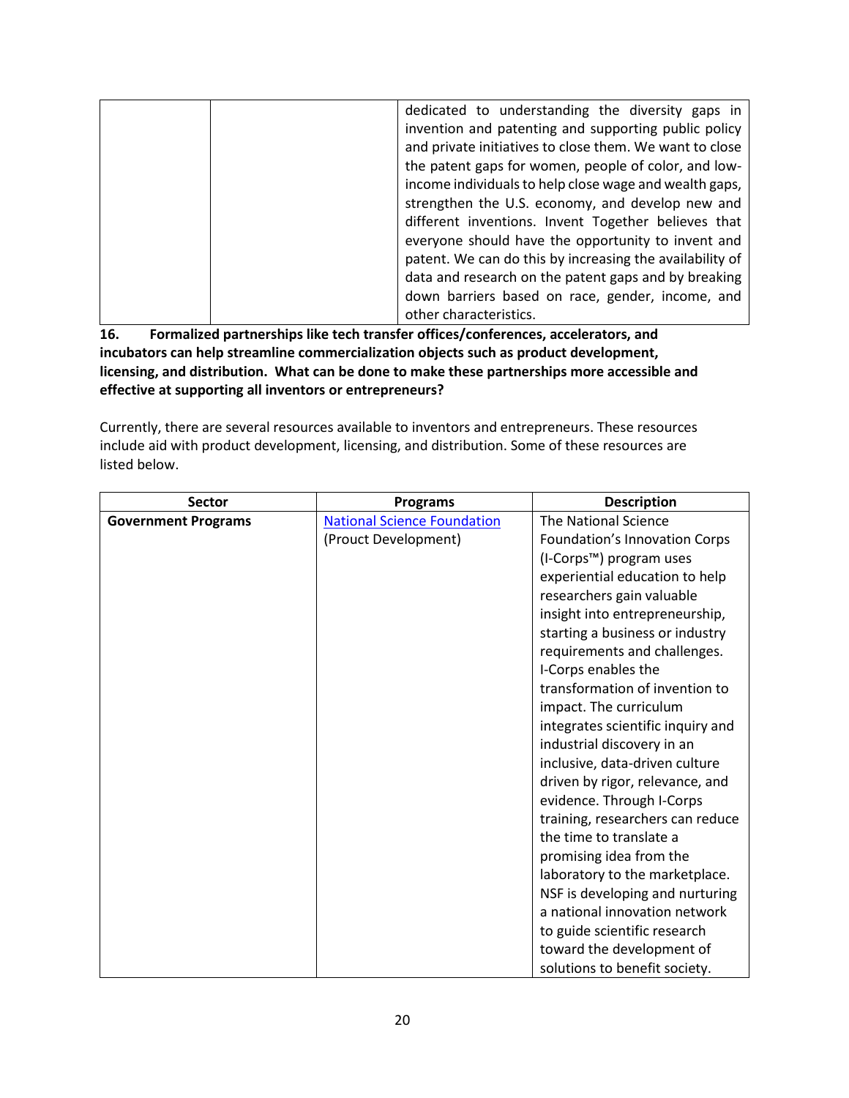| dedicated to understanding the diversity gaps in         |
|----------------------------------------------------------|
| invention and patenting and supporting public policy     |
| and private initiatives to close them. We want to close  |
| the patent gaps for women, people of color, and low-     |
| income individuals to help close wage and wealth gaps,   |
| strengthen the U.S. economy, and develop new and         |
| different inventions. Invent Together believes that      |
| everyone should have the opportunity to invent and       |
| patent. We can do this by increasing the availability of |
| data and research on the patent gaps and by breaking     |
| down barriers based on race, gender, income, and         |
| other characteristics.                                   |

**16. Formalized partnerships like tech transfer offices/conferences, accelerators, and incubators can help streamline commercialization objects such as product development, licensing, and distribution. What can be done to make these partnerships more accessible and effective at supporting all inventors or entrepreneurs?**

Currently, there are several resources available to inventors and entrepreneurs. These resources include aid with product development, licensing, and distribution. Some of these resources are listed below.

| <b>Sector</b>              | <b>Programs</b>                    | <b>Description</b>                |
|----------------------------|------------------------------------|-----------------------------------|
| <b>Government Programs</b> | <b>National Science Foundation</b> | <b>The National Science</b>       |
|                            | (Prouct Development)               | Foundation's Innovation Corps     |
|                            |                                    | (I-Corps™) program uses           |
|                            |                                    | experiential education to help    |
|                            |                                    | researchers gain valuable         |
|                            |                                    | insight into entrepreneurship,    |
|                            |                                    | starting a business or industry   |
|                            |                                    | requirements and challenges.      |
|                            |                                    | I-Corps enables the               |
|                            |                                    | transformation of invention to    |
|                            |                                    | impact. The curriculum            |
|                            |                                    | integrates scientific inquiry and |
|                            |                                    | industrial discovery in an        |
|                            |                                    | inclusive, data-driven culture    |
|                            |                                    | driven by rigor, relevance, and   |
|                            |                                    | evidence. Through I-Corps         |
|                            |                                    | training, researchers can reduce  |
|                            |                                    | the time to translate a           |
|                            |                                    | promising idea from the           |
|                            |                                    | laboratory to the marketplace.    |
|                            |                                    | NSF is developing and nurturing   |
|                            |                                    | a national innovation network     |
|                            |                                    | to guide scientific research      |
|                            |                                    | toward the development of         |
|                            |                                    | solutions to benefit society.     |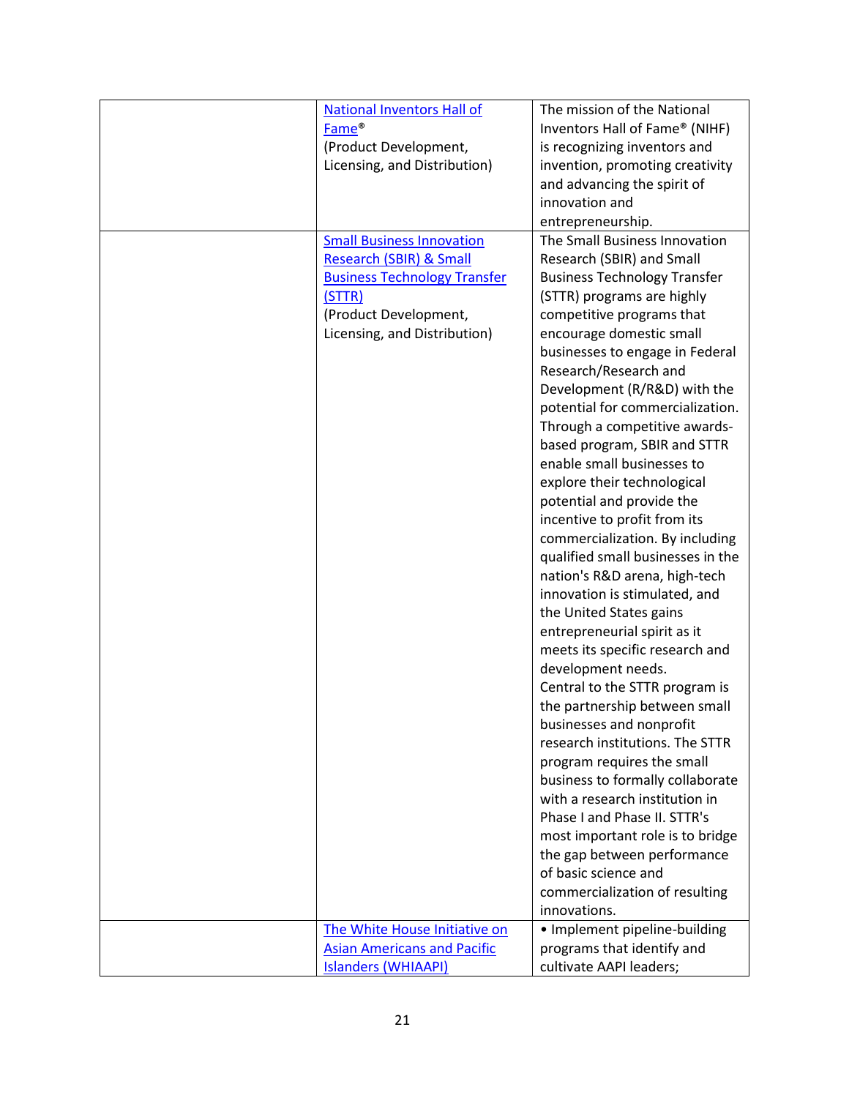| <b>National Inventors Hall of</b>   | The mission of the National         |
|-------------------------------------|-------------------------------------|
| Fame <sup>®</sup>                   | Inventors Hall of Fame® (NIHF)      |
| (Product Development,               | is recognizing inventors and        |
| Licensing, and Distribution)        | invention, promoting creativity     |
|                                     |                                     |
|                                     | and advancing the spirit of         |
|                                     | innovation and                      |
|                                     | entrepreneurship.                   |
| <b>Small Business Innovation</b>    | The Small Business Innovation       |
| <b>Research (SBIR) &amp; Small</b>  | Research (SBIR) and Small           |
| <b>Business Technology Transfer</b> | <b>Business Technology Transfer</b> |
| (STTR)                              | (STTR) programs are highly          |
| (Product Development,               | competitive programs that           |
| Licensing, and Distribution)        | encourage domestic small            |
|                                     | businesses to engage in Federal     |
|                                     | Research/Research and               |
|                                     | Development (R/R&D) with the        |
|                                     | potential for commercialization.    |
|                                     |                                     |
|                                     | Through a competitive awards-       |
|                                     | based program, SBIR and STTR        |
|                                     | enable small businesses to          |
|                                     | explore their technological         |
|                                     | potential and provide the           |
|                                     | incentive to profit from its        |
|                                     | commercialization. By including     |
|                                     | qualified small businesses in the   |
|                                     | nation's R&D arena, high-tech       |
|                                     | innovation is stimulated, and       |
|                                     | the United States gains             |
|                                     | entrepreneurial spirit as it        |
|                                     | meets its specific research and     |
|                                     | development needs.                  |
|                                     | Central to the STTR program is      |
|                                     | the partnership between small       |
|                                     | businesses and nonprofit            |
|                                     | research institutions. The STTR     |
|                                     |                                     |
|                                     | program requires the small          |
|                                     | business to formally collaborate    |
|                                     | with a research institution in      |
|                                     | Phase I and Phase II. STTR's        |
|                                     | most important role is to bridge    |
|                                     | the gap between performance         |
|                                     | of basic science and                |
|                                     | commercialization of resulting      |
|                                     | innovations.                        |
| The White House Initiative on       | · Implement pipeline-building       |
| <b>Asian Americans and Pacific</b>  | programs that identify and          |
| <b>Islanders (WHIAAPI)</b>          | cultivate AAPI leaders;             |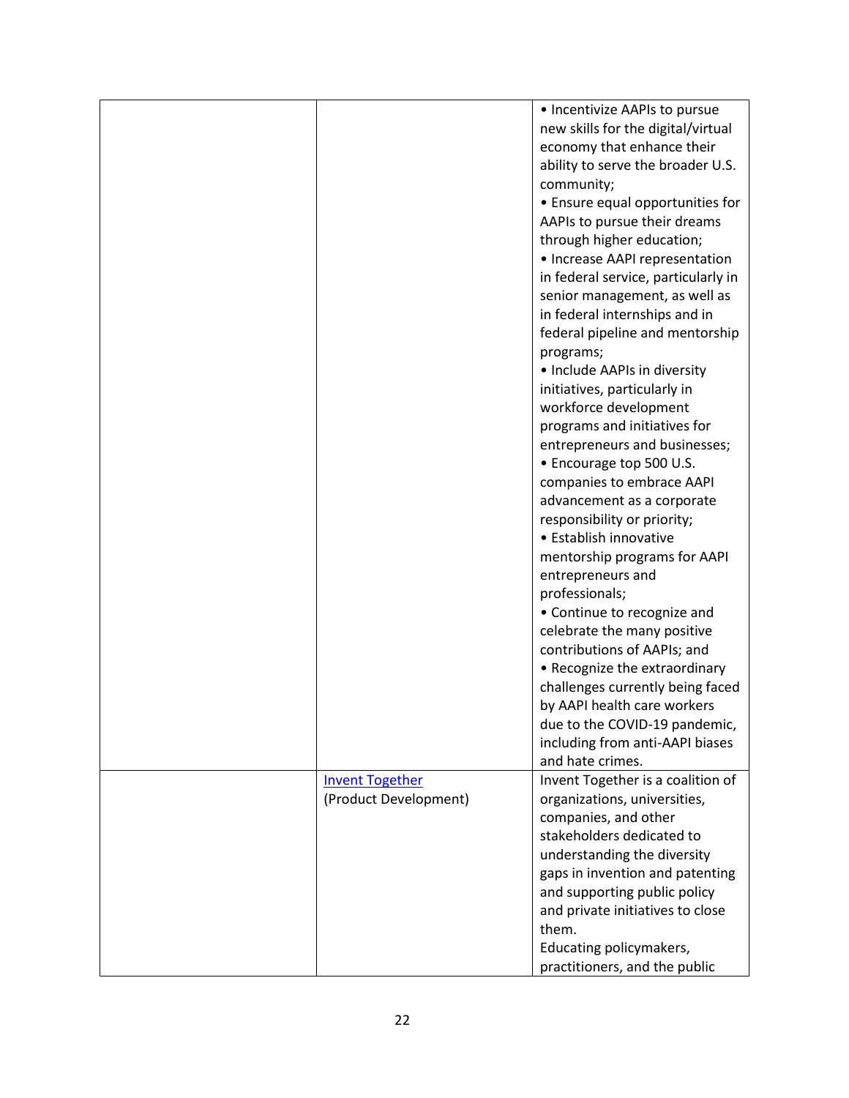| <b>Invent Together</b> | • Incentivize AAPIs to pursue<br>new skills for the digital/virtual<br>economy that enhance their<br>ability to serve the broader U.S.<br>community;<br>• Ensure equal opportunities for<br>AAPIs to pursue their dreams<br>through higher education;<br>• Increase AAPI representation<br>in federal service, particularly in<br>senior management, as well as<br>in federal internships and in<br>federal pipeline and mentorship<br>programs;<br>• Include AAPIs in diversity<br>initiatives, particularly in<br>workforce development<br>programs and initiatives for<br>entrepreneurs and businesses;<br>• Encourage top 500 U.S.<br>companies to embrace AAPI<br>advancement as a corporate<br>responsibility or priority;<br>• Establish innovative<br>mentorship programs for AAPI<br>entrepreneurs and<br>professionals;<br>• Continue to recognize and<br>celebrate the many positive<br>contributions of AAPIs; and<br>• Recognize the extraordinary<br>challenges currently being faced<br>by AAPI health care workers<br>due to the COVID-19 pandemic,<br>including from anti-AAPI biases<br>and hate crimes.<br>Invent Together is a coalition of |
|------------------------|-----------------------------------------------------------------------------------------------------------------------------------------------------------------------------------------------------------------------------------------------------------------------------------------------------------------------------------------------------------------------------------------------------------------------------------------------------------------------------------------------------------------------------------------------------------------------------------------------------------------------------------------------------------------------------------------------------------------------------------------------------------------------------------------------------------------------------------------------------------------------------------------------------------------------------------------------------------------------------------------------------------------------------------------------------------------------------------------------------------------------------------------------------------------|
|                        |                                                                                                                                                                                                                                                                                                                                                                                                                                                                                                                                                                                                                                                                                                                                                                                                                                                                                                                                                                                                                                                                                                                                                                 |
| (Product Development)  | organizations, universities,<br>companies, and other<br>stakeholders dedicated to<br>understanding the diversity<br>gaps in invention and patenting<br>and supporting public policy<br>and private initiatives to close<br>them.<br>Educating policymakers,<br>practitioners, and the public                                                                                                                                                                                                                                                                                                                                                                                                                                                                                                                                                                                                                                                                                                                                                                                                                                                                    |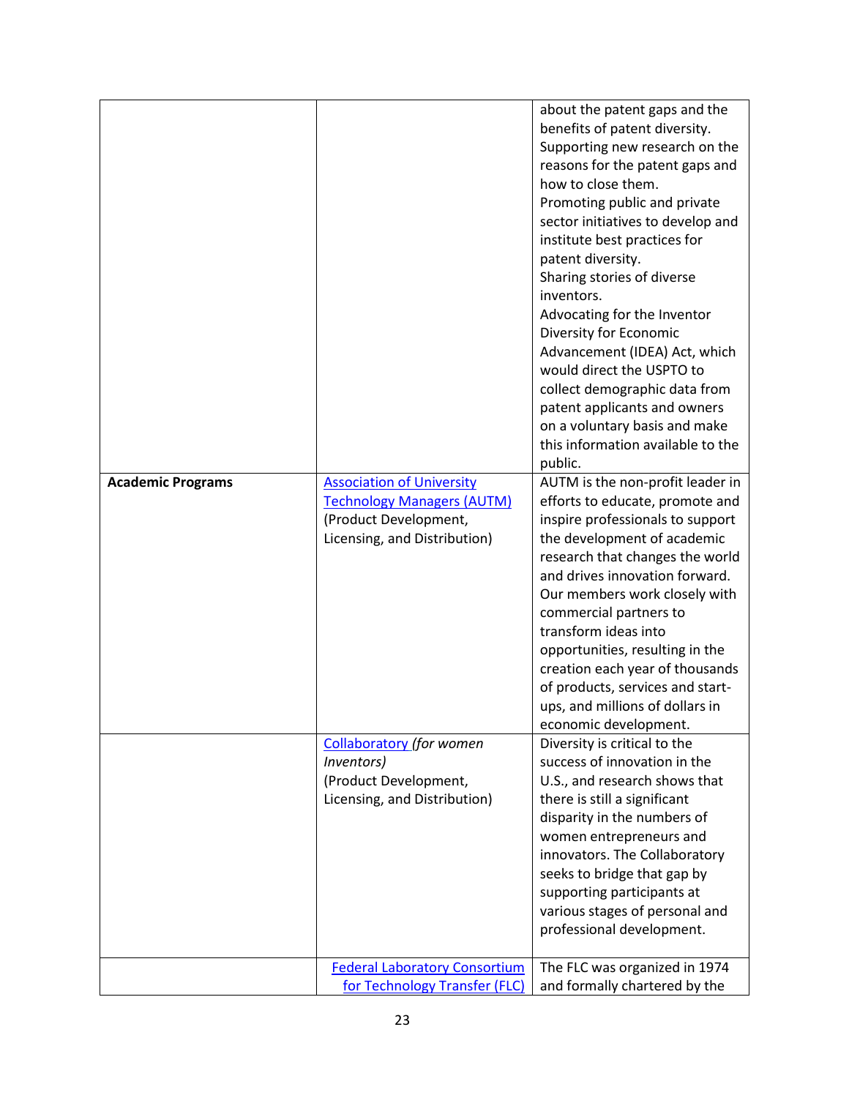| <b>Academic Programs</b> | <b>Association of University</b><br><b>Technology Managers (AUTM)</b><br>(Product Development,<br>Licensing, and Distribution) | about the patent gaps and the<br>benefits of patent diversity.<br>Supporting new research on the<br>reasons for the patent gaps and<br>how to close them.<br>Promoting public and private<br>sector initiatives to develop and<br>institute best practices for<br>patent diversity.<br>Sharing stories of diverse<br>inventors.<br>Advocating for the Inventor<br>Diversity for Economic<br>Advancement (IDEA) Act, which<br>would direct the USPTO to<br>collect demographic data from<br>patent applicants and owners<br>on a voluntary basis and make<br>this information available to the<br>public.<br>AUTM is the non-profit leader in<br>efforts to educate, promote and<br>inspire professionals to support<br>the development of academic<br>research that changes the world<br>and drives innovation forward.<br>Our members work closely with<br>commercial partners to<br>transform ideas into<br>opportunities, resulting in the<br>creation each year of thousands<br>of products, services and start-<br>ups, and millions of dollars in |
|--------------------------|--------------------------------------------------------------------------------------------------------------------------------|---------------------------------------------------------------------------------------------------------------------------------------------------------------------------------------------------------------------------------------------------------------------------------------------------------------------------------------------------------------------------------------------------------------------------------------------------------------------------------------------------------------------------------------------------------------------------------------------------------------------------------------------------------------------------------------------------------------------------------------------------------------------------------------------------------------------------------------------------------------------------------------------------------------------------------------------------------------------------------------------------------------------------------------------------------|
|                          | <b>Collaboratory</b> (for women<br>Inventors)<br>(Product Development,<br>Licensing, and Distribution)                         | economic development.<br>Diversity is critical to the<br>success of innovation in the<br>U.S., and research shows that<br>there is still a significant<br>disparity in the numbers of<br>women entrepreneurs and<br>innovators. The Collaboratory<br>seeks to bridge that gap by<br>supporting participants at                                                                                                                                                                                                                                                                                                                                                                                                                                                                                                                                                                                                                                                                                                                                          |
|                          | <b>Federal Laboratory Consortium</b><br>for Technology Transfer (FLC)                                                          | various stages of personal and<br>professional development.<br>The FLC was organized in 1974<br>and formally chartered by the                                                                                                                                                                                                                                                                                                                                                                                                                                                                                                                                                                                                                                                                                                                                                                                                                                                                                                                           |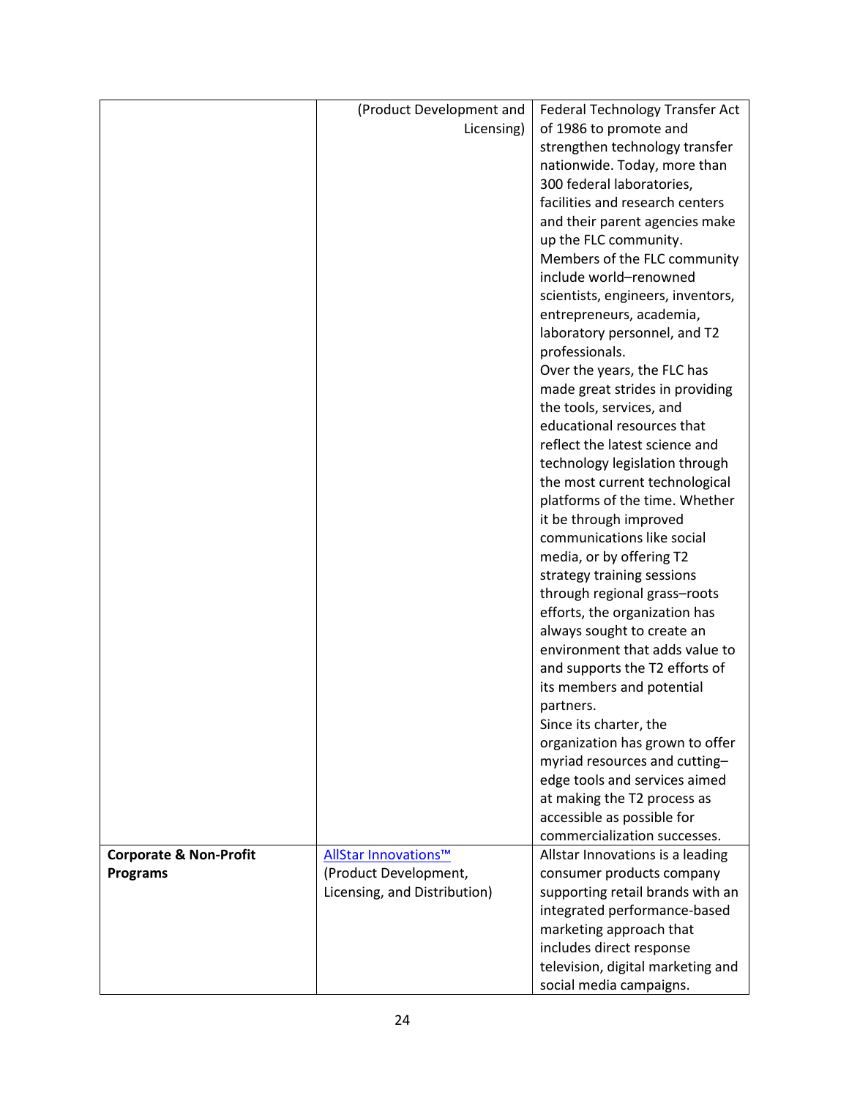|                                   | (Product Development and     | Federal Technology Transfer Act   |
|-----------------------------------|------------------------------|-----------------------------------|
|                                   | Licensing)                   | of 1986 to promote and            |
|                                   |                              | strengthen technology transfer    |
|                                   |                              | nationwide. Today, more than      |
|                                   |                              | 300 federal laboratories,         |
|                                   |                              | facilities and research centers   |
|                                   |                              | and their parent agencies make    |
|                                   |                              | up the FLC community.             |
|                                   |                              | Members of the FLC community      |
|                                   |                              | include world-renowned            |
|                                   |                              | scientists, engineers, inventors, |
|                                   |                              | entrepreneurs, academia,          |
|                                   |                              | laboratory personnel, and T2      |
|                                   |                              | professionals.                    |
|                                   |                              | Over the years, the FLC has       |
|                                   |                              | made great strides in providing   |
|                                   |                              | the tools, services, and          |
|                                   |                              | educational resources that        |
|                                   |                              | reflect the latest science and    |
|                                   |                              | technology legislation through    |
|                                   |                              | the most current technological    |
|                                   |                              | platforms of the time. Whether    |
|                                   |                              | it be through improved            |
|                                   |                              | communications like social        |
|                                   |                              | media, or by offering T2          |
|                                   |                              | strategy training sessions        |
|                                   |                              | through regional grass-roots      |
|                                   |                              | efforts, the organization has     |
|                                   |                              | always sought to create an        |
|                                   |                              | environment that adds value to    |
|                                   |                              | and supports the T2 efforts of    |
|                                   |                              | its members and potential         |
|                                   |                              | partners.                         |
|                                   |                              | Since its charter, the            |
|                                   |                              | organization has grown to offer   |
|                                   |                              | myriad resources and cutting-     |
|                                   |                              | edge tools and services aimed     |
|                                   |                              | at making the T2 process as       |
|                                   |                              | accessible as possible for        |
|                                   |                              | commercialization successes.      |
| <b>Corporate &amp; Non-Profit</b> | AllStar Innovations™         | Allstar Innovations is a leading  |
| <b>Programs</b>                   | (Product Development,        | consumer products company         |
|                                   | Licensing, and Distribution) | supporting retail brands with an  |
|                                   |                              | integrated performance-based      |
|                                   |                              | marketing approach that           |
|                                   |                              | includes direct response          |
|                                   |                              | television, digital marketing and |
|                                   |                              | social media campaigns.           |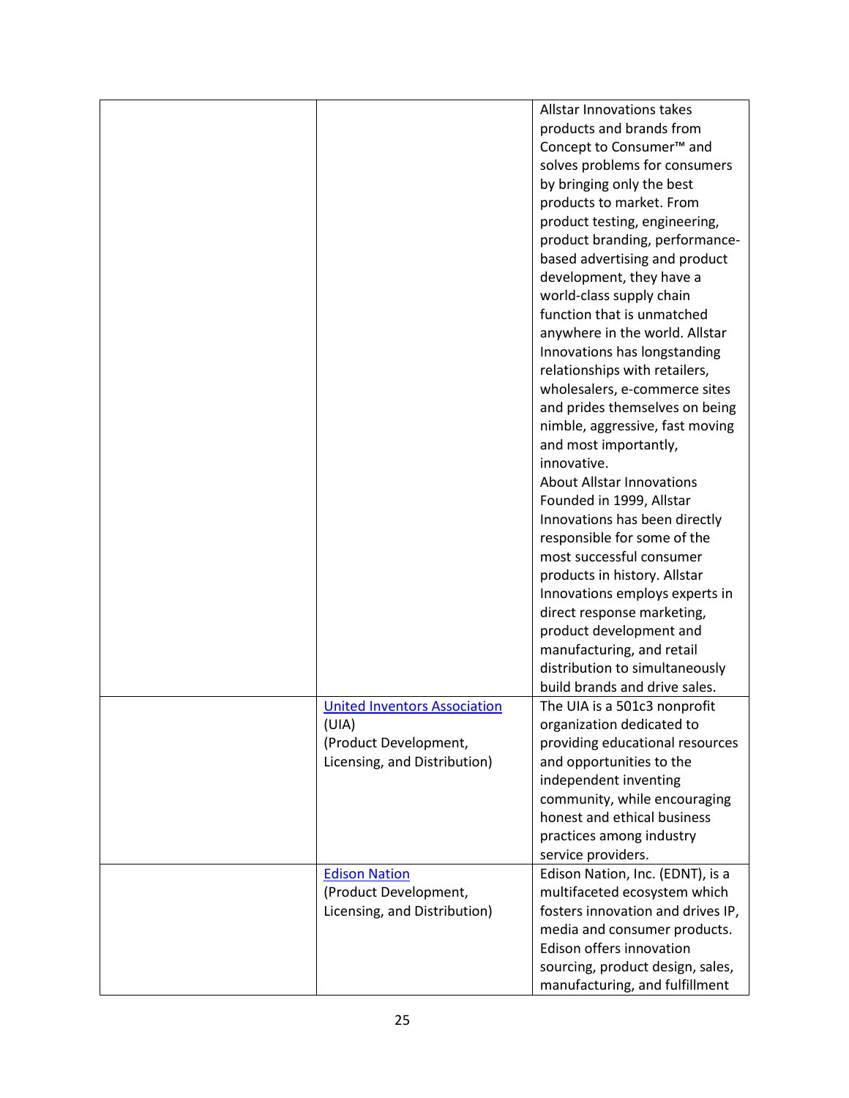|                                     | <b>Allstar Innovations takes</b>     |
|-------------------------------------|--------------------------------------|
|                                     | products and brands from             |
|                                     | Concept to Consumer <sup>™</sup> and |
|                                     |                                      |
|                                     | solves problems for consumers        |
|                                     | by bringing only the best            |
|                                     | products to market. From             |
|                                     | product testing, engineering,        |
|                                     | product branding, performance-       |
|                                     | based advertising and product        |
|                                     | development, they have a             |
|                                     | world-class supply chain             |
|                                     | function that is unmatched           |
|                                     | anywhere in the world. Allstar       |
|                                     | Innovations has longstanding         |
|                                     | relationships with retailers,        |
|                                     | wholesalers, e-commerce sites        |
|                                     | and prides themselves on being       |
|                                     | nimble, aggressive, fast moving      |
|                                     | and most importantly,                |
|                                     | innovative.                          |
|                                     | <b>About Allstar Innovations</b>     |
|                                     |                                      |
|                                     | Founded in 1999, Allstar             |
|                                     | Innovations has been directly        |
|                                     | responsible for some of the          |
|                                     | most successful consumer             |
|                                     | products in history. Allstar         |
|                                     | Innovations employs experts in       |
|                                     | direct response marketing,           |
|                                     | product development and              |
|                                     | manufacturing, and retail            |
|                                     | distribution to simultaneously       |
|                                     | build brands and drive sales.        |
| <b>United Inventors Association</b> | The UIA is a 501c3 nonprofit         |
| (UIA)                               | organization dedicated to            |
| (Product Development,               | providing educational resources      |
| Licensing, and Distribution)        | and opportunities to the             |
|                                     | independent inventing                |
|                                     | community, while encouraging         |
|                                     | honest and ethical business          |
|                                     | practices among industry             |
|                                     | service providers.                   |
| <b>Edison Nation</b>                | Edison Nation, Inc. (EDNT), is a     |
| (Product Development,               | multifaceted ecosystem which         |
|                                     |                                      |
| Licensing, and Distribution)        | fosters innovation and drives IP,    |
|                                     | media and consumer products.         |
|                                     | Edison offers innovation             |
|                                     | sourcing, product design, sales,     |
|                                     | manufacturing, and fulfillment       |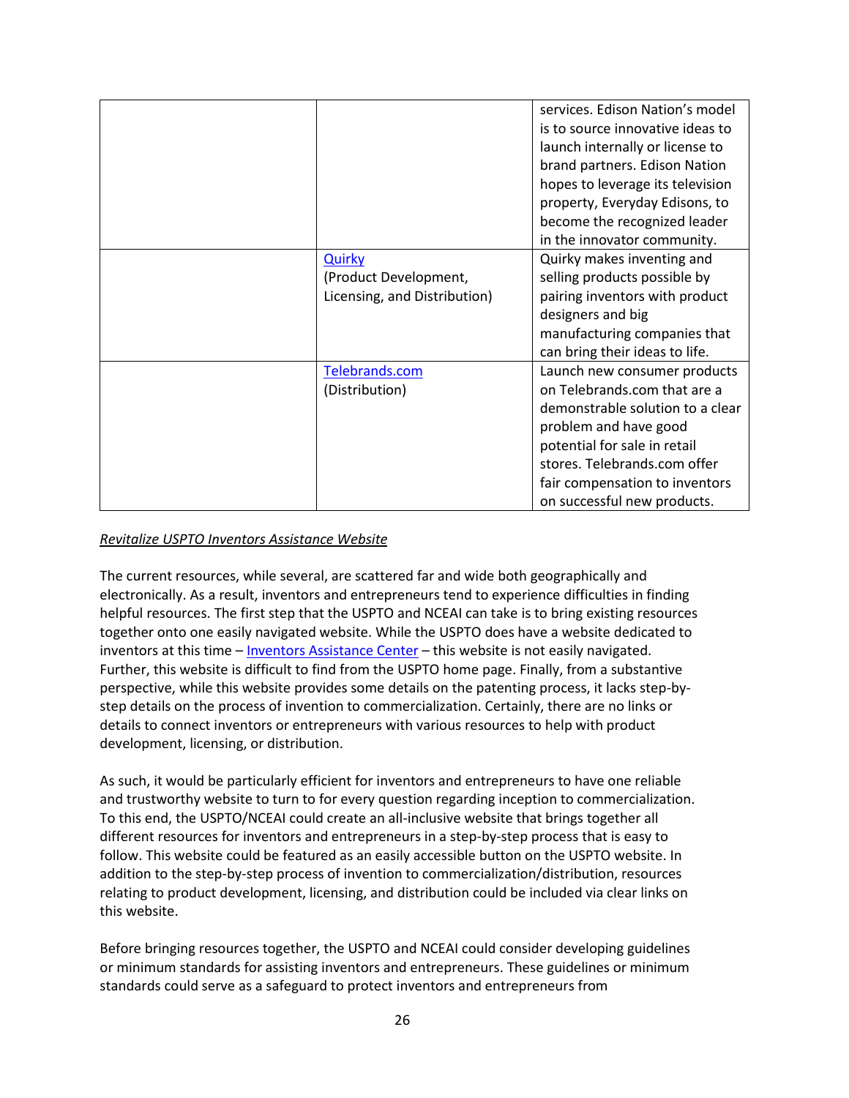|                              | services. Edison Nation's model  |
|------------------------------|----------------------------------|
|                              | is to source innovative ideas to |
|                              | launch internally or license to  |
|                              | brand partners. Edison Nation    |
|                              | hopes to leverage its television |
|                              | property, Everyday Edisons, to   |
|                              | become the recognized leader     |
|                              | in the innovator community.      |
| <b>Quirky</b>                | Quirky makes inventing and       |
| (Product Development,        | selling products possible by     |
| Licensing, and Distribution) | pairing inventors with product   |
|                              | designers and big                |
|                              | manufacturing companies that     |
|                              | can bring their ideas to life.   |
| Telebrands.com               | Launch new consumer products     |
| (Distribution)               | on Telebrands.com that are a     |
|                              | demonstrable solution to a clear |
|                              | problem and have good            |
|                              | potential for sale in retail     |
|                              | stores. Telebrands.com offer     |
|                              | fair compensation to inventors   |
|                              | on successful new products.      |

### *Revitalize USPTO Inventors Assistance Website*

The current resources, while several, are scattered far and wide both geographically and electronically. As a result, inventors and entrepreneurs tend to experience difficulties in finding helpful resources. The first step that the USPTO and NCEAI can take is to bring existing resources together onto one easily navigated website. While the USPTO does have a website dedicated to inventors at this time – [Inventors Assistance Center](https://www.uspto.gov/learning-and-resources/support-centers/inventors-assistance-center-iac) – this website is not easily navigated. Further, this website is difficult to find from the USPTO home page. Finally, from a substantive perspective, while this website provides some details on the patenting process, it lacks step-bystep details on the process of invention to commercialization. Certainly, there are no links or details to connect inventors or entrepreneurs with various resources to help with product development, licensing, or distribution.

As such, it would be particularly efficient for inventors and entrepreneurs to have one reliable and trustworthy website to turn to for every question regarding inception to commercialization. To this end, the USPTO/NCEAI could create an all-inclusive website that brings together all different resources for inventors and entrepreneurs in a step-by-step process that is easy to follow. This website could be featured as an easily accessible button on the USPTO website. In addition to the step-by-step process of invention to commercialization/distribution, resources relating to product development, licensing, and distribution could be included via clear links on this website.

Before bringing resources together, the USPTO and NCEAI could consider developing guidelines or minimum standards for assisting inventors and entrepreneurs. These guidelines or minimum standards could serve as a safeguard to protect inventors and entrepreneurs from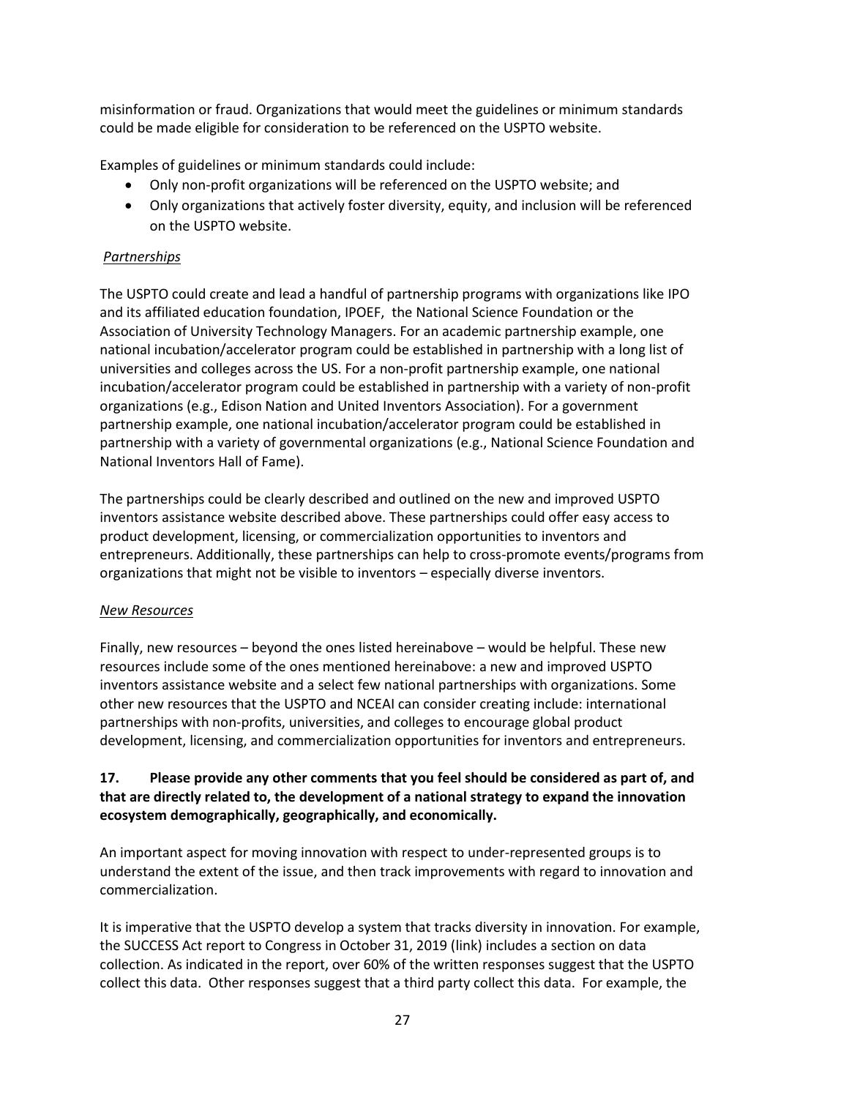misinformation or fraud. Organizations that would meet the guidelines or minimum standards could be made eligible for consideration to be referenced on the USPTO website.

Examples of guidelines or minimum standards could include:

- Only non-profit organizations will be referenced on the USPTO website; and
- Only organizations that actively foster diversity, equity, and inclusion will be referenced on the USPTO website.

#### *Partnerships*

The USPTO could create and lead a handful of partnership programs with organizations like IPO and its affiliated education foundation, IPOEF, the National Science Foundation or the Association of University Technology Managers. For an academic partnership example, one national incubation/accelerator program could be established in partnership with a long list of universities and colleges across the US. For a non-profit partnership example, one national incubation/accelerator program could be established in partnership with a variety of non-profit organizations (e.g., Edison Nation and United Inventors Association). For a government partnership example, one national incubation/accelerator program could be established in partnership with a variety of governmental organizations (e.g., National Science Foundation and National Inventors Hall of Fame).

The partnerships could be clearly described and outlined on the new and improved USPTO inventors assistance website described above. These partnerships could offer easy access to product development, licensing, or commercialization opportunities to inventors and entrepreneurs. Additionally, these partnerships can help to cross-promote events/programs from organizations that might not be visible to inventors – especially diverse inventors.

#### *New Resources*

Finally, new resources – beyond the ones listed hereinabove – would be helpful. These new resources include some of the ones mentioned hereinabove: a new and improved USPTO inventors assistance website and a select few national partnerships with organizations. Some other new resources that the USPTO and NCEAI can consider creating include: international partnerships with non-profits, universities, and colleges to encourage global product development, licensing, and commercialization opportunities for inventors and entrepreneurs.

## **17. Please provide any other comments that you feel should be considered as part of, and that are directly related to, the development of a national strategy to expand the innovation ecosystem demographically, geographically, and economically.**

An important aspect for moving innovation with respect to under-represented groups is to understand the extent of the issue, and then track improvements with regard to innovation and commercialization.

It is imperative that the USPTO develop a system that tracks diversity in innovation. For example, the SUCCESS Act report to Congress in October 31, 2019 [\(link\)](https://www.uspto.gov/about-us/news-updates/uspto-releases-success-act-report-congress) includes a section on data collection. As indicated in the report, over 60% of the written responses suggest that the USPTO collect this data. Other responses suggest that a third party collect this data. For example, the